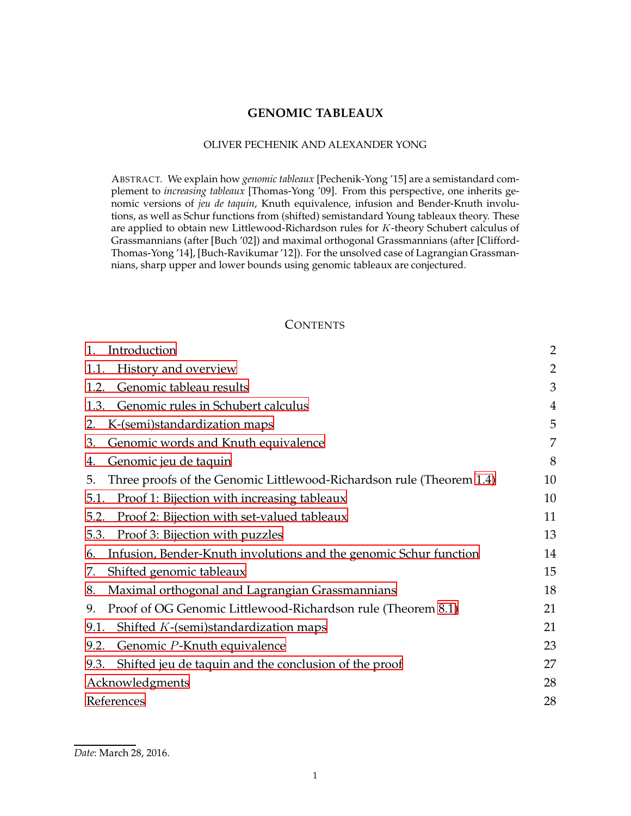# **GENOMIC TABLEAUX**

#### OLIVER PECHENIK AND ALEXANDER YONG

ABSTRACT. We explain how *genomic tableaux* [Pechenik-Yong '15] are a semistandard complement to *increasing tableaux* [Thomas-Yong '09]. From this perspective, one inherits genomic versions of *jeu de taquin*, Knuth equivalence, infusion and Bender-Knuth involutions, as well as Schur functions from (shifted) semistandard Young tableaux theory. These are applied to obtain new Littlewood-Richardson rules for K-theory Schubert calculus of Grassmannians (after [Buch '02]) and maximal orthogonal Grassmannians (after [Clifford-Thomas-Yong '14], [Buch-Ravikumar '12]). For the unsolved case of Lagrangian Grassmannians, sharp upper and lower bounds using genomic tableaux are conjectured.

# **CONTENTS**

| Introduction<br>1.                                                         | $\overline{2}$ |
|----------------------------------------------------------------------------|----------------|
| History and overview<br>1.1.                                               | $\overline{2}$ |
| Genomic tableau results<br>1.2.                                            | 3              |
| Genomic rules in Schubert calculus<br>1.3.                                 | 4              |
| K-(semi)standardization maps<br>2.                                         | 5              |
| Genomic words and Knuth equivalence<br>3.                                  | 7              |
| Genomic jeu de taquin<br>4.                                                | 8              |
| Three proofs of the Genomic Littlewood-Richardson rule (Theorem 1.4)<br>5. | 10             |
| Proof 1: Bijection with increasing tableaux<br>5.1.                        | 10             |
| Proof 2: Bijection with set-valued tableaux<br>5.2.                        | 11             |
| Proof 3: Bijection with puzzles<br>5.3.                                    | 13             |
| Infusion, Bender-Knuth involutions and the genomic Schur function<br>6.    | 14             |
| Shifted genomic tableaux<br>7.                                             | 15             |
| Maximal orthogonal and Lagrangian Grassmannians<br>8.                      | 18             |
| Proof of OG Genomic Littlewood-Richardson rule (Theorem 8.1)<br>9.         | 21             |
| Shifted $K$ -(semi)standardization maps<br>9.1.                            | 21             |
| Genomic P-Knuth equivalence<br>9.2.                                        | 23             |
| Shifted jeu de taquin and the conclusion of the proof<br>9.3.              | 27             |
| Acknowledgments                                                            | 28             |
| References                                                                 | 28             |

*Date*: March 28, 2016.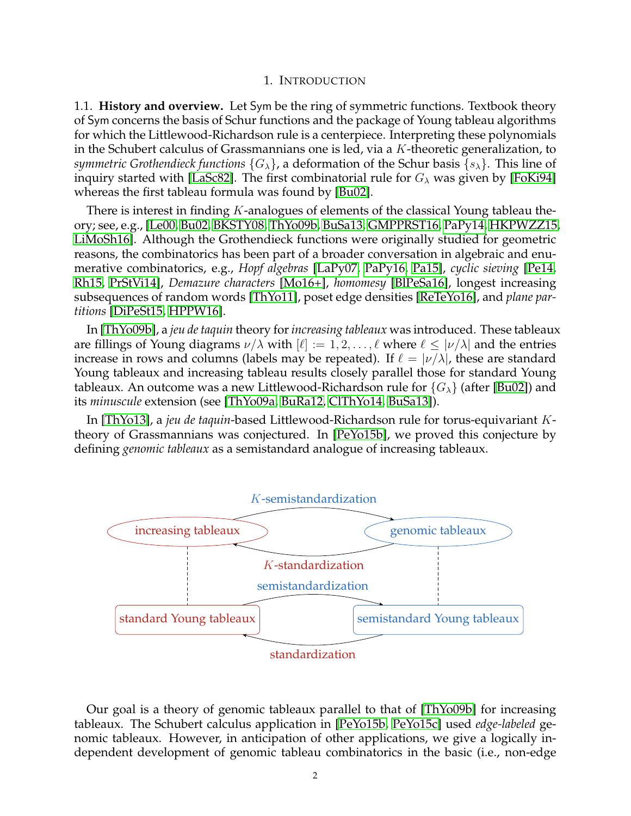### 1. INTRODUCTION

<span id="page-1-1"></span><span id="page-1-0"></span>1.1. **History and overview.** Let Sym be the ring of symmetric functions. Textbook theory of Sym concerns the basis of Schur functions and the package of Young tableau algorithms for which the Littlewood-Richardson rule is a centerpiece. Interpreting these polynomials in the Schubert calculus of Grassmannians one is led, via a  $K$ -theoretic generalization, to *symmetric Grothendieck functions*  ${G_{\lambda}}$ , a deformation of the Schur basis  ${s_{\lambda}}$ . This line of inquiry started with [\[LaSc82\]](#page-28-0). The first combinatorial rule for  $G_{\lambda}$  was given by [\[FoKi94\]](#page-28-1) whereas the first tableau formula was found by [\[Bu02\]](#page-27-2).

There is interest in finding  $K$ -analogues of elements of the classical Young tableau theory; see, e.g., [\[Le00,](#page-28-2) [Bu02,](#page-27-2) [BKSTY08,](#page-27-3) [ThYo09b,](#page-29-0) [BuSa13,](#page-28-3) [GMPPRST16,](#page-28-4) [PaPy14,](#page-28-5) [HKPWZZ15,](#page-28-6) [LiMoSh16\]](#page-28-7). Although the Grothendieck functions were originally studied for geometric reasons, the combinatorics has been part of a broader conversation in algebraic and enumerative combinatorics, e.g., *Hopf algebras* [\[LaPy07,](#page-28-8) [PaPy16,](#page-28-9) [Pa15\]](#page-28-10), *cyclic sieving* [\[Pe14,](#page-28-11) [Rh15,](#page-29-1) [PrStVi14\]](#page-29-2), *Demazure characters* [\[Mo16+\]](#page-28-12), *homomesy* [\[BlPeSa16\]](#page-27-4), longest increasing subsequences of random words [\[ThYo11\]](#page-29-3), poset edge densities [\[ReTeYo16\]](#page-29-4), and *plane partitions* [\[DiPeSt15,](#page-28-13) [HPPW16\]](#page-28-14).

In [\[ThYo09b\]](#page-29-0), a *jeu de taquin* theory for*increasing tableaux* was introduced. These tableaux are fillings of Young diagrams  $\nu/\lambda$  with  $[\ell] := 1, 2, \dots, \ell$  where  $\ell \leq |\nu/\lambda|$  and the entries increase in rows and columns (labels may be repeated). If  $\ell = |\nu/\lambda|$ , these are standard Young tableaux and increasing tableau results closely parallel those for standard Young tableaux. An outcome was a new Littlewood-Richardson rule for  ${G_\lambda}$  (after [\[Bu02\]](#page-27-2)) and its *minuscule* extension (see [\[ThYo09a,](#page-29-5) [BuRa12,](#page-27-5) [ClThYo14,](#page-28-15) [BuSa13\]](#page-28-3)).

In [\[ThYo13\]](#page-29-6), a *jeu de taquin*-based Littlewood-Richardson rule for torus-equivariant Ktheory of Grassmannians was conjectured. In [\[PeYo15b\]](#page-28-16), we proved this conjecture by defining *genomic tableaux* as a semistandard analogue of increasing tableaux.



Our goal is a theory of genomic tableaux parallel to that of [\[ThYo09b\]](#page-29-0) for increasing tableaux. The Schubert calculus application in [\[PeYo15b,](#page-28-16) [PeYo15c\]](#page-28-17) used *edge-labeled* genomic tableaux. However, in anticipation of other applications, we give a logically independent development of genomic tableau combinatorics in the basic (i.e., non-edge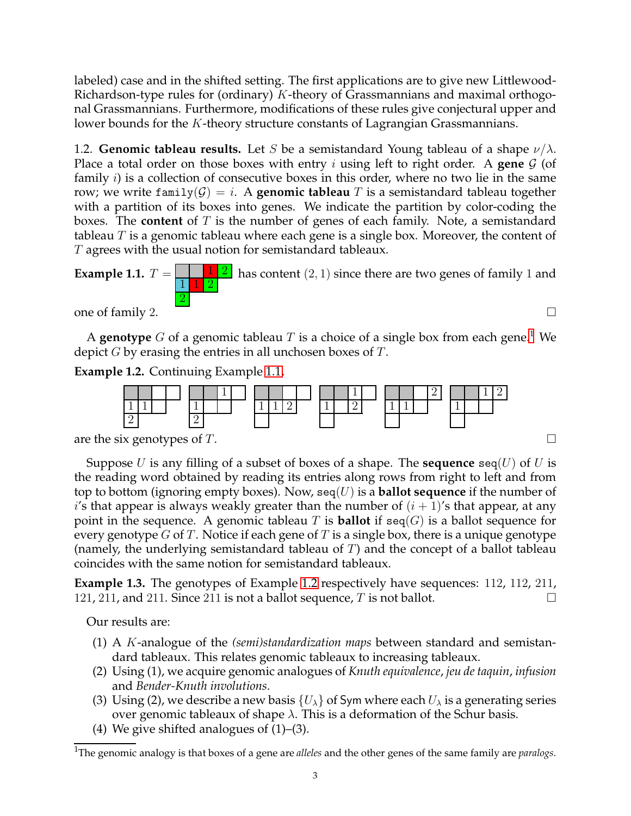labeled) case and in the shifted setting. The first applications are to give new Littlewood-Richardson-type rules for (ordinary)  $K$ -theory of Grassmannians and maximal orthogonal Grassmannians. Furthermore, modifications of these rules give conjectural upper and lower bounds for the K-theory structure constants of Lagrangian Grassmannians.

<span id="page-2-0"></span>1.2. **Genomic tableau results.** Let S be a semistandard Young tableau of a shape  $\nu/\lambda$ . Place a total order on those boxes with entry *i* using left to right order. A gene  $\mathcal{G}$  (of family  $i$ ) is a collection of consecutive boxes in this order, where no two lie in the same row; we write family( $G$ ) = *i*. A **genomic tableau** T is a semistandard tableau together with a partition of its boxes into genes. We indicate the partition by color-coding the boxes. The **content** of T is the number of genes of each family. Note, a semistandard tableau  $T$  is a genomic tableau where each gene is a single box. Moreover, the content of T agrees with the usual notion for semistandard tableaux.

<span id="page-2-2"></span>**Example 1.1.** 
$$
T = \frac{1}{1} \frac{1}{2}
$$
 has content (2, 1) since there are two genes of family 1 and  $\frac{1}{2}$ 

one of family 2.  $\Box$ 

A **genotype** G of a genomic tableau T is a choice of a single box from each gene.<sup>[1](#page-2-1)</sup> We depict  $G$  by erasing the entries in all unchosen boxes of  $T$ .

<span id="page-2-3"></span>**Example 1.2.** Continuing Example [1.1,](#page-2-2)



are the six genotypes of T.

Suppose U is any filling of a subset of boxes of a shape. The **sequence**  $\text{seq}(U)$  of U is the reading word obtained by reading its entries along rows from right to left and from top to bottom (ignoring empty boxes). Now,  $\text{seq}(U)$  is a **ballot sequence** if the number of i's that appear is always weakly greater than the number of  $(i + 1)$ 's that appear, at any point in the sequence. A genomic tableau T is **ballot** if  $\text{seq}(G)$  is a ballot sequence for every genotype G of T. Notice if each gene of T is a single box, there is a unique genotype (namely, the underlying semistandard tableau of  $T$ ) and the concept of a ballot tableau coincides with the same notion for semistandard tableaux.

**Example 1.3.** The genotypes of Example [1.2](#page-2-3) respectively have sequences: 112, 112, 211, 121, 211, and 211. Since 211 is not a ballot sequence, T is not ballot.  $\square$ 

Our results are:

- (1) A K-analogue of the *(semi)standardization maps* between standard and semistandard tableaux. This relates genomic tableaux to increasing tableaux.
- (2) Using (1), we acquire genomic analogues of *Knuth equivalence*, *jeu de taquin*, *infusion* and *Bender-Knuth involutions*.
- (3) Using (2), we describe a new basis  $\{U_\lambda\}$  of Sym where each  $U_\lambda$  is a generating series over genomic tableaux of shape  $\lambda$ . This is a deformation of the Schur basis.
- (4) We give shifted analogues of (1)–(3).

<span id="page-2-1"></span><sup>1</sup>The genomic analogy is that boxes of a gene are *alleles* and the other genes of the same family are *paralogs*.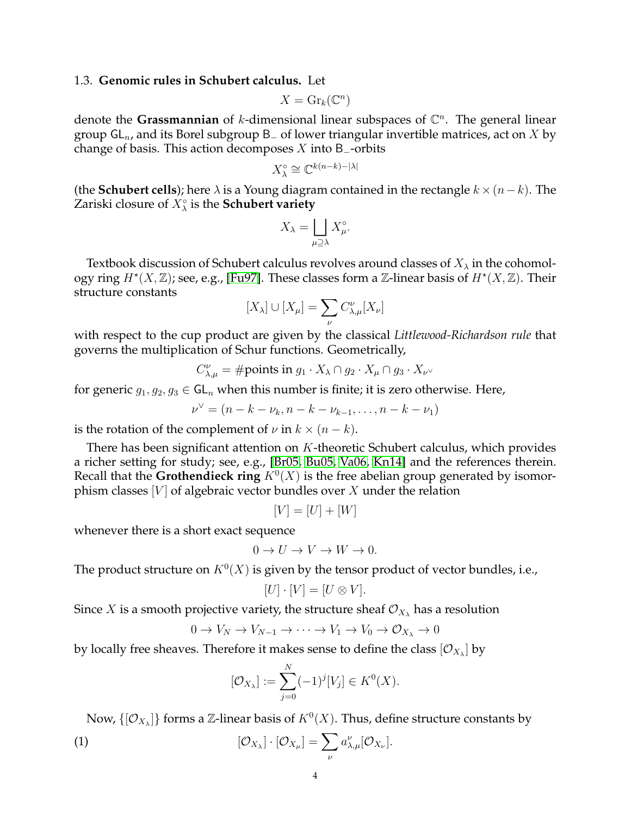## <span id="page-3-0"></span>1.3. **Genomic rules in Schubert calculus.** Let

$$
X = \mathrm{Gr}_k(\mathbb{C}^n)
$$

denote the Grassmannian of  $k$ -dimensional linear subspaces of  $\mathbb{C}^n$ . The general linear group  $GL_n$ , and its Borel subgroup B<sub>-</sub> of lower triangular invertible matrices, act on X by change of basis. This action decomposes X into B<sub>-</sub>-orbits

$$
X_{\lambda}^{\circ} \cong \mathbb{C}^{k(n-k)-|\lambda|}
$$

(the **Schubert cells**); here  $\lambda$  is a Young diagram contained in the rectangle  $k \times (n-k)$ . The Zariski closure of X◦ λ is the **Schubert variety**

$$
X_{\lambda} = \bigsqcup_{\mu \supseteq \lambda} X_{\mu}^{\circ}.
$$

Textbook discussion of Schubert calculus revolves around classes of  $X_\lambda$  in the cohomology ring  $H^*(X, \mathbb{Z})$ ; see, e.g., [\[Fu97\]](#page-28-18). These classes form a  $\mathbb{Z}$ -linear basis of  $H^*(X, \mathbb{Z})$ . Their structure constants

$$
[X_\lambda]\cup [X_\mu]=\sum_\nu C_{\lambda,\mu}^\nu [X_\nu]
$$

with respect to the cup product are given by the classical *Littlewood-Richardson rule* that governs the multiplication of Schur functions. Geometrically,

$$
C_{\lambda,\mu}^{\nu} = \text{\#points in } g_1 \cdot X_{\lambda} \cap g_2 \cdot X_{\mu} \cap g_3 \cdot X_{\nu} \vee
$$

for generic  $g_1, g_2, g_3 \in GL_n$  when this number is finite; it is zero otherwise. Here,

$$
\nu^{\vee} = (n - k - \nu_k, n - k - \nu_{k-1}, \dots, n - k - \nu_1)
$$

is the rotation of the complement of  $\nu$  in  $k \times (n - k)$ .

There has been significant attention on K-theoretic Schubert calculus, which provides a richer setting for study; see, e.g., [\[Br05,](#page-27-6) [Bu05,](#page-27-7) [Va06,](#page-29-7) [Kn14\]](#page-28-19) and the references therein. Recall that the **Grothendieck ring**  $K^0(X)$  is the free abelian group generated by isomorphism classes  $[V]$  of algebraic vector bundles over X under the relation

$$
[V] = [U] + [W]
$$

whenever there is a short exact sequence

$$
0 \to U \to V \to W \to 0.
$$

The product structure on  $K^0(X)$  is given by the tensor product of vector bundles, i.e.,

$$
[U] \cdot [V] = [U \otimes V].
$$

Since X is a smooth projective variety, the structure sheaf  $\mathcal{O}_{X_\lambda}$  has a resolution

$$
0 \to V_N \to V_{N-1} \to \cdots \to V_1 \to V_0 \to \mathcal{O}_{X_{\lambda}} \to 0
$$

by locally free sheaves. Therefore it makes sense to define the class  $[\mathcal{O}_{X_{\lambda}}]$  by

$$
[\mathcal{O}_{X_{\lambda}}] := \sum_{j=0}^{N} (-1)^{j} [V_{j}] \in K^{0}(X).
$$

Now,  $\{[{\mathcal O}_{X_{\lambda}}]\}$  forms a  ${\mathbb Z}$ -linear basis of  $K^0(X).$  Thus, define structure constants by

(1) 
$$
[\mathcal{O}_{X_{\lambda}}] \cdot [\mathcal{O}_{X_{\mu}}] = \sum_{\nu} a_{\lambda,\mu}^{\nu} [\mathcal{O}_{X_{\nu}}].
$$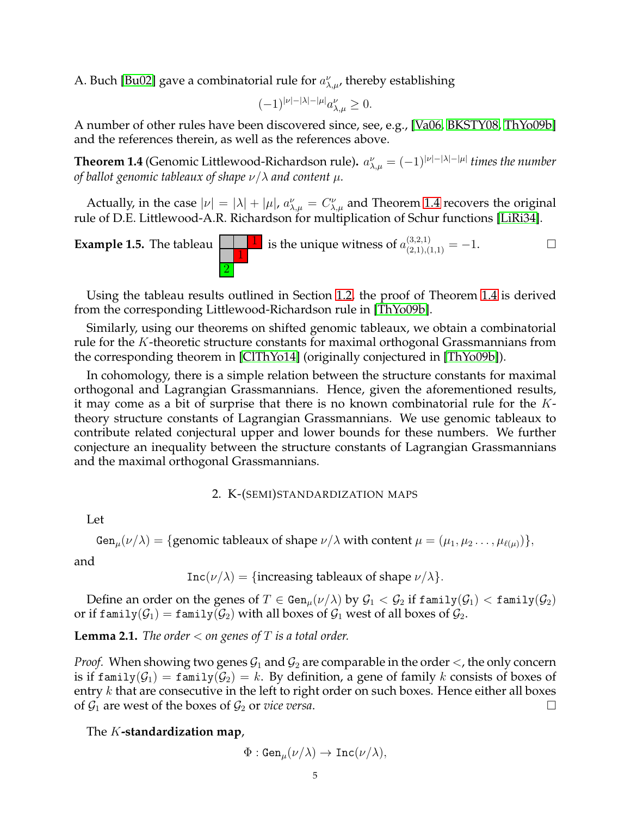A. Buch [\[Bu02\]](#page-27-2) gave a combinatorial rule for  $a_{\lambda,\mu}^{\nu}$ , thereby establishing

$$
(-1)^{|\nu|-|\lambda|-|\mu|}a_{\lambda,\mu}^{\nu}\geq 0.
$$

A number of other rules have been discovered since, see, e.g., [\[Va06,](#page-29-7) [BKSTY08,](#page-27-3) [ThYo09b\]](#page-29-0) and the references therein, as well as the references above.

<span id="page-4-1"></span>**Theorem 1.4** (Genomic Littlewood-Richardson rule).  $a_{\lambda,\mu}^{\nu} = (-1)^{|\nu|-|\lambda|-|\mu|}$  times the number *of ballot genomic tableaux of shape* ν/λ *and content* µ*.*

Actually, in the case  $|\nu| = |\lambda| + |\mu|$ ,  $a_{\lambda,\mu}^{\nu} = C_{\lambda,\mu}^{\nu}$  and Theorem [1.4](#page-4-1) recovers the original rule of D.E. Littlewood-A.R. Richardson for multiplication of Schur functions [\[LiRi34\]](#page-28-20).

**Example 1.5.** The tableau 
$$
\boxed{1}
$$
 is the unique witness of  $a_{(2,1),(1,1)}^{(3,2,1)} = -1$ .

Using the tableau results outlined in Section [1.2,](#page-2-0) the proof of Theorem [1.4](#page-4-1) is derived from the corresponding Littlewood-Richardson rule in [\[ThYo09b\]](#page-29-0).

Similarly, using our theorems on shifted genomic tableaux, we obtain a combinatorial rule for the K-theoretic structure constants for maximal orthogonal Grassmannians from the corresponding theorem in [\[ClThYo14\]](#page-28-15) (originally conjectured in [\[ThYo09b\]](#page-29-0)).

In cohomology, there is a simple relation between the structure constants for maximal orthogonal and Lagrangian Grassmannians. Hence, given the aforementioned results, it may come as a bit of surprise that there is no known combinatorial rule for the  $K$ theory structure constants of Lagrangian Grassmannians. We use genomic tableaux to contribute related conjectural upper and lower bounds for these numbers. We further conjecture an inequality between the structure constants of Lagrangian Grassmannians and the maximal orthogonal Grassmannians.

### 2. K-(SEMI)STANDARDIZATION MAPS

<span id="page-4-0"></span>Let

Gen<sub> $\mu$ </sub> $(\nu/\lambda) = \{$  genomic tableaux of shape  $\nu/\lambda$  with content  $\mu = (\mu_1, \mu_2 \dots, \mu_{\ell(\mu)})\},$ 

and

$$
Inc(\nu/\lambda) = {increasing tableaux of shape \nu/\lambda}.
$$

Define an order on the genes of  $T \in \text{Gen}_{\mu}(\nu/\lambda)$  by  $\mathcal{G}_1 < \mathcal{G}_2$  if  $\text{family}(\mathcal{G}_1) < \text{family}(\mathcal{G}_2)$ or if  $\text{family}(\mathcal{G}_1) = \text{family}(\mathcal{G}_2)$  with all boxes of  $\mathcal{G}_1$  west of all boxes of  $\mathcal{G}_2$ .

<span id="page-4-2"></span>**Lemma 2.1.** *The order*  $<$  *on genes of*  $T$  *is a total order.* 

*Proof.* When showing two genes  $G_1$  and  $G_2$  are comparable in the order  $\lt$ , the only concern is if family( $G_1$ ) = family( $G_2$ ) = k. By definition, a gene of family k consists of boxes of entry  $k$  that are consecutive in the left to right order on such boxes. Hence either all boxes of  $\mathcal{G}_1$  are west of the boxes of  $\mathcal{G}_2$  or *vice versa*.

### The K**-standardization map**,

$$
\Phi:\text{\rm Gen}_{\mu}(\nu/\lambda)\to\text{\rm Inc}(\nu/\lambda),
$$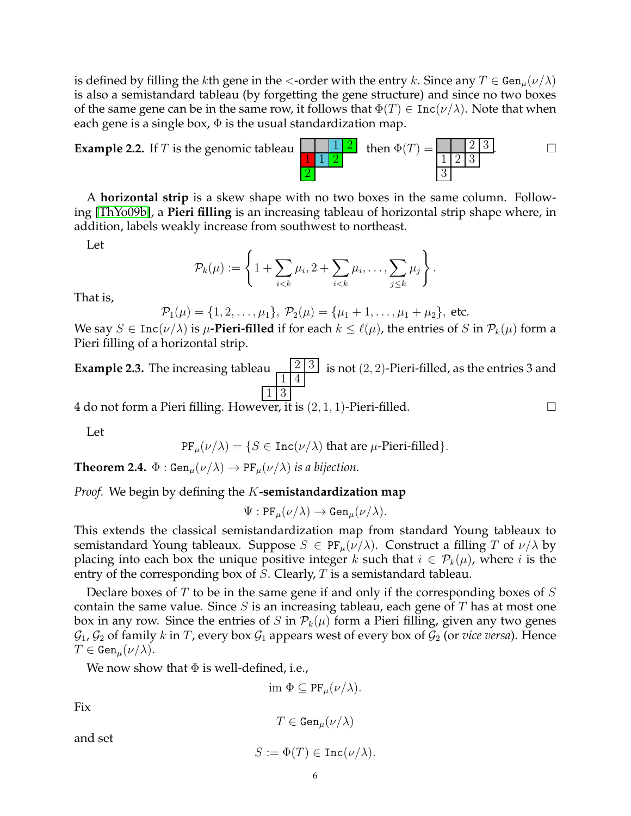is defined by filling the kth gene in the  $\lt$ -order with the entry k. Since any  $T \in \text{Gen}_{\mu}(\nu/\lambda)$ is also a semistandard tableau (by forgetting the gene structure) and since no two boxes of the same gene can be in the same row, it follows that  $\Phi(T) \in \text{Inc}(\nu/\lambda)$ . Note that when each gene is a single box,  $\Phi$  is the usual standardization map.



A **horizontal strip** is a skew shape with no two boxes in the same column. Following [\[ThYo09b\]](#page-29-0), a **Pieri filling** is an increasing tableau of horizontal strip shape where, in addition, labels weakly increase from southwest to northeast.

Let

$$
\mathcal{P}_k(\mu) := \left\{ 1 + \sum_{i < k} \mu_i, 2 + \sum_{i < k} \mu_i, \ldots, \sum_{j \leq k} \mu_j \right\}.
$$

That is,

$$
\mathcal{P}_1(\mu) = \{1, 2, \ldots, \mu_1\}, \ \mathcal{P}_2(\mu) = \{\mu_1 + 1, \ldots, \mu_1 + \mu_2\}, \ \text{etc.}
$$

We say  $S \in \text{Inc}(\nu/\lambda)$  is  $\mu$ -**Pieri-filled** if for each  $k \leq \ell(\mu)$ , the entries of S in  $\mathcal{P}_k(\mu)$  form a Pieri filling of a horizontal strip.

**Example 2.3.** The increasing tableau  $\frac{2}{3}$ 1 4 1 3 is not  $(2,2)$ -Pieri-filled, as the entries 3 and

4 do not form a Pieri filling. However, it is  $(2, 1, 1)$ -Pieri-filled.

Let

PF<sub>$$
\mu
$$</sub> $(\nu/\lambda) = \{ S \in \text{Inc}(\nu/\lambda) \text{ that are } \mu\text{-Pieri-filled} \}.$ 

<span id="page-5-0"></span>**Theorem 2.4.**  $\Phi$  : Gen<sub>u</sub> $(\nu/\lambda) \rightarrow PF_u(\nu/\lambda)$  *is a bijection.* 

*Proof.* We begin by defining the K**-semistandardization map**

$$
\Psi: \mathrm{PF}_{\mu}(\nu/\lambda) \to \mathrm{Gen}_{\mu}(\nu/\lambda).
$$

This extends the classical semistandardization map from standard Young tableaux to semistandard Young tableaux. Suppose  $S \in PF_\mu(\nu/\lambda)$ . Construct a filling T of  $\nu/\lambda$  by placing into each box the unique positive integer k such that  $i \in \mathcal{P}_k(\mu)$ , where i is the entry of the corresponding box of S. Clearly, T is a semistandard tableau.

Declare boxes of  $T$  to be in the same gene if and only if the corresponding boxes of  $S$ contain the same value. Since  $S$  is an increasing tableau, each gene of  $T$  has at most one box in any row. Since the entries of S in  $\mathcal{P}_k(\mu)$  form a Pieri filling, given any two genes  $\mathcal{G}_1$ ,  $\mathcal{G}_2$  of family k in T, every box  $\mathcal{G}_1$  appears west of every box of  $\mathcal{G}_2$  (or *vice versa*). Hence  $T \in \text{Gen}_{\mu}(\nu/\lambda).$ 

We now show that  $\Phi$  is well-defined, i.e.,

im  $\Phi \subseteq PF_u(\nu/\lambda)$ .

Fix

$$
T\in \textnormal{Gen}_{\mu}(\nu/\lambda)
$$

and set

$$
S:=\Phi(T)\in\texttt{Inc}(\nu/\lambda).
$$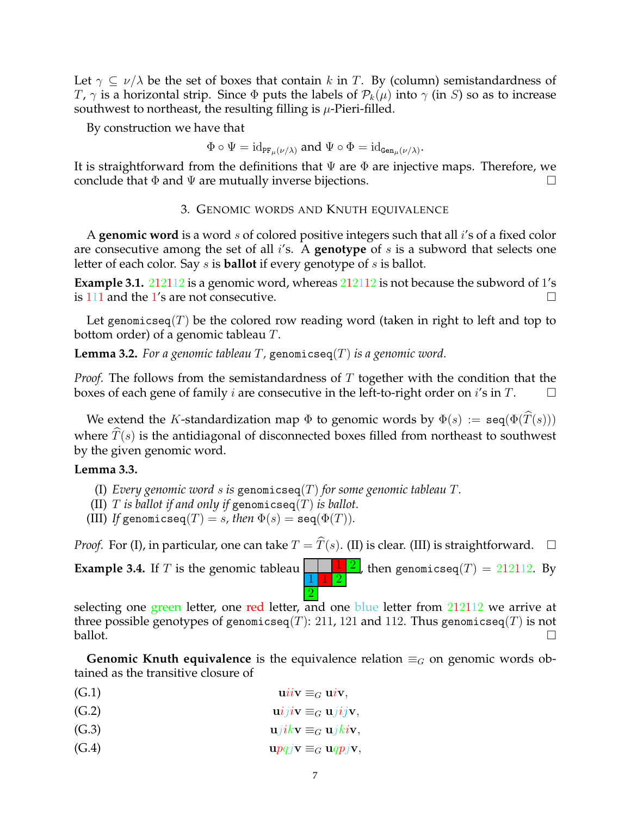Let  $\gamma \subseteq \nu/\lambda$  be the set of boxes that contain k in T. By (column) semistandardness of T,  $\gamma$  is a horizontal strip. Since  $\Phi$  puts the labels of  $\mathcal{P}_k(\mu)$  into  $\gamma$  (in S) so as to increase southwest to northeast, the resulting filling is  $\mu$ -Pieri-filled.

By construction we have that

$$
\Phi \circ \Psi = \mathrm{id}_{\mathrm{PF}_{\mu}(\nu/\lambda)}
$$
 and  $\Psi \circ \Phi = \mathrm{id}_{\mathrm{Gen}_{\mu}(\nu/\lambda)}$ .

<span id="page-6-0"></span>It is straightforward from the definitions that  $\Psi$  are  $\Phi$  are injective maps. Therefore, we conclude that  $\Phi$  and  $\Psi$  are mutually inverse bijections.

3. GENOMIC WORDS AND KNUTH EQUIVALENCE

A **genomic word** is a word s of colored positive integers such that all i's of a fixed color are consecutive among the set of all i's. A **genotype** of s is a subword that selects one letter of each color. Say s is **ballot** if every genotype of s is ballot.

**Example 3.1.** 212112 is a genomic word, whereas 212112 is not because the subword of 1's is 111 and the 1's are not consecutive.

Let genomicseq(T) be the colored row reading word (taken in right to left and top to bottom order) of a genomic tableau T.

**Lemma 3.2.** *For a genomic tableau* T*,* genomicseq(T) *is a genomic word.*

*Proof.* The follows from the semistandardness of T together with the condition that the boxes of each gene of family *i* are consecutive in the left-to-right order on *i*'s in T.

We extend the K-standardization map  $\Phi$  to genomic words by  $\Phi(s) := \text{seq}(\Phi(T(s)))$ where  $\hat{T}(s)$  is the antidiagonal of disconnected boxes filled from northeast to southwest by the given genomic word.

## <span id="page-6-1"></span>**Lemma 3.3.**

- (I) *Every genomic word* s *is* genomicseq(T) *for some genomic tableau* T*.*
- (II)  $T$  *is ballot if and only if genomicseq(T) is ballot.*
- (III) *If* genomicseq(*T*) = *s, then*  $\Phi(s)$  = seq( $\Phi(T)$ ).

*Proof.* For (I), in particular, one can take  $T = \hat{T}(s)$ . (II) is clear. (III) is straightforward.  $\Box$ 

**Example 3.4.** If T is the genomic tableau  $\begin{array}{|c|c|c|c|c|}\n\hline\n\end{array}$   $\begin{array}{|c|c|c|c|}\n\hline\n\end{array}$ 1 1 2 2 , then genomicseq $(T)\,=\,212112.$  By

selecting one green letter, one red letter, and one blue letter from  $212112$  we arrive at three possible genotypes of genomicseq(T): 211, 121 and 112. Thus genomicseq(T) is not ballot.  $\Box$ 

**Genomic Knuth equivalence** is the equivalence relation  $\equiv_G$  on genomic words obtained as the transitive closure of

- (G.1)  $\mathbf{u} \mathit{i} \mathit{i} \mathbf{v} \equiv_G \mathbf{u} \mathit{i} \mathbf{v},$
- (G.2)  $\mathbf{u}iij\mathbf{v} \equiv_G \mathbf{u}jij\mathbf{v},$
- (G.3)  $ujikv \equiv_G ujkiv,$
- (G.4)  $\mathbf{u}pqj\mathbf{v} \equiv_G \mathbf{u}qpj\mathbf{v},$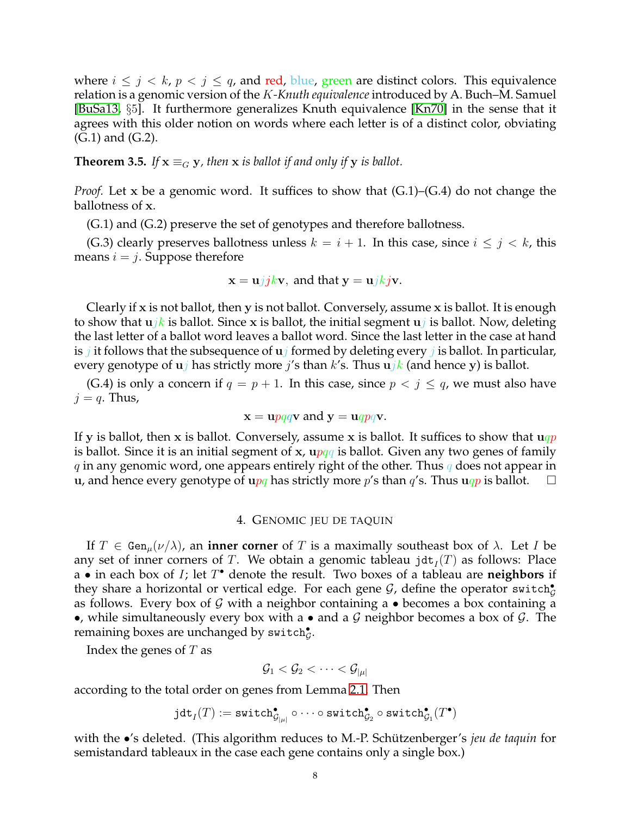where  $i \leq j \leq k$ ,  $p \leq j \leq q$ , and red, blue, green are distinct colors. This equivalence relation is a genomic version of the K*-Knuth equivalence*introduced by A. Buch–M. Samuel [\[BuSa13,](#page-28-3) §5]. It furthermore generalizes Knuth equivalence [\[Kn70\]](#page-28-21) in the sense that it agrees with this older notion on words where each letter is of a distinct color, obviating (G.1) and (G.2).

<span id="page-7-1"></span>**Theorem 3.5.** *If*  $\mathbf{x} \equiv_G \mathbf{y}$ *, then*  $\mathbf{x}$  *is ballot if and only if*  $\mathbf{y}$  *is ballot.* 

*Proof.* Let x be a genomic word. It suffices to show that  $(G.1)$ – $(G.4)$  do not change the ballotness of x.

(G.1) and (G.2) preserve the set of genotypes and therefore ballotness.

(G.3) clearly preserves ballotness unless  $k = i + 1$ . In this case, since  $i \leq j \leq k$ , this means  $i = j$ . Suppose therefore

$$
x = u/jkv
$$
, and that  $y = ujkjv$ .

Clearly if x is not ballot, then y is not ballot. Conversely, assume x is ballot. It is enough to show that  $ujk$  is ballot. Since x is ballot, the initial segment  $uj$  is ballot. Now, deleting the last letter of a ballot word leaves a ballot word. Since the last letter in the case at hand is  $j$  it follows that the subsequence of  $uj$  formed by deleting every  $j$  is ballot. In particular, every genotype of  $u_j$  has strictly more *j*'s than *k*'s. Thus  $u_j$ *k* (and hence y) is ballot.

(G.4) is only a concern if  $q = p + 1$ . In this case, since  $p < j \leq q$ , we must also have  $j = q$ . Thus,

$$
x = \text{u}pqq\text{v}
$$
 and  $y = \text{u}qpq\text{v}$ .

If y is ballot, then x is ballot. Conversely, assume x is ballot. It suffices to show that  $uqp$ is ballot. Since it is an initial segment of x,  $\frac{u}{q}$  is ballot. Given any two genes of family q in any genomic word, one appears entirely right of the other. Thus q does not appear in u, and hence every genotype of upq has strictly more p's than  $q'$ s. Thus uqp is ballot.  $\square$ 

#### 4. GENOMIC JEU DE TAQUIN

<span id="page-7-0"></span>If  $T \in \text{Gen}_{\mu}(\nu/\lambda)$ , an **inner corner** of T is a maximally southeast box of  $\lambda$ . Let I be any set of inner corners of T. We obtain a genomic tableau  $\mathtt{jdt}_I(T)$  as follows: Place a • in each box of I; let T • denote the result. Two boxes of a tableau are **neighbors** if they share a horizontal or vertical edge. For each gene  $\mathcal G$ , define the operator switch $^{\bullet}_{\mathcal G}$ as follows. Every box of  $G$  with a neighbor containing a  $\bullet$  becomes a box containing a •, while simultaneously every box with a • and a  $G$  neighbor becomes a box of  $G$ . The remaining boxes are unchanged by  $\textsf{switch}_\mathcal{G}^\bullet.$ 

Index the genes of  $T$  as

$$
\mathcal{G}_1 < \mathcal{G}_2 < \cdots < \mathcal{G}_{|\mu|}
$$

according to the total order on genes from Lemma [2.1.](#page-4-2) Then

$$
\mathtt{jdt}_I(T) := \mathtt{switch}_{\mathcal{G}_{|\mu|}}^\bullet \circ \cdots \circ \mathtt{switch}_{\mathcal{G}_2}^\bullet \circ \mathtt{switch}_{\mathcal{G}_1}^\bullet(T^\bullet)
$$

with the •'s deleted. (This algorithm reduces to M.-P. Schützenberger's *jeu de taquin* for semistandard tableaux in the case each gene contains only a single box.)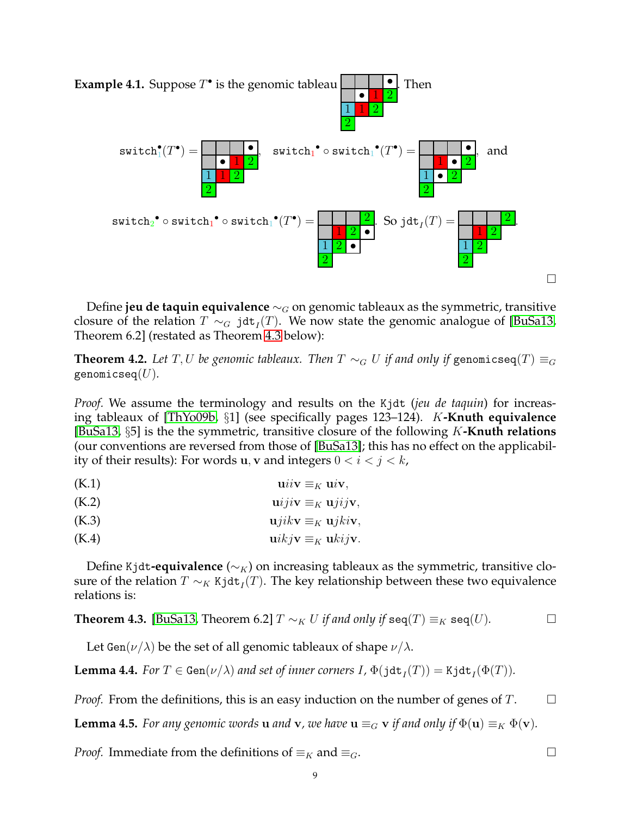

Define **jeu de taquin equivalence** ∼<sub>G</sub> on genomic tableaux as the symmetric, transitive closure of the relation  $T \sim_G \mathtt{jdt}_I(T)$ . We now state the genomic analogue of [\[BuSa13,](#page-28-3) Theorem 6.2] (restated as Theorem [4.3](#page-8-0) below):

<span id="page-8-3"></span>**Theorem 4.2.** *Let*  $T, U$  *be genomic tableaux. Then*  $T \sim_G U$  *if and only if* genomicseq $(T) \equiv_G U$ genomicseq(U)*.*

*Proof.* We assume the terminology and results on the Kjdt (*jeu de taquin*) for increasing tableaux of [\[ThYo09b,](#page-29-0) §1] (see specifically pages 123–124). K**-Knuth equivalence** [\[BuSa13,](#page-28-3) §5] is the the symmetric, transitive closure of the following K**-Knuth relations** (our conventions are reversed from those of [\[BuSa13\]](#page-28-3); this has no effect on the applicability of their results): For words u, v and integers  $0 < i < j < k$ ,

$$
(K.1) \t\t\t\t\tuiv \equivK uiv,
$$

$$
(K.2) \t\t\t $\text{u}iji\mathbf{v} \equiv_K \text{u}jij\mathbf{v},$
$$

$$
(K.3) \t\t\t $\mathbf{u}jik\mathbf{v} \equiv_K \mathbf{u}jki\mathbf{v},$
$$

$$
(K.4) \t\t\t\t $\mathbf{u}ikj\mathbf{v} \equiv_K \mathbf{u}kij\mathbf{v}.$
$$

Define Kjdt**-equivalence** ( $\sim_K$ ) on increasing tableaux as the symmetric, transitive closure of the relation  $T\sim_K \texttt{Kjdt}_I(T).$  The key relationship between these two equivalence relations is:

<span id="page-8-0"></span>**Theorem 4.3.** [BuSa13, Theorem 6.2] 
$$
T \sim_K U
$$
 if and only if  $seq(T) \equiv_K seq(U)$ .

Let Gen( $\nu/\lambda$ ) be the set of all genomic tableaux of shape  $\nu/\lambda$ .

<span id="page-8-1"></span>**Lemma 4.4.** *For*  $T \in Gen(\nu/\lambda)$  *and set of inner corners*  $I$ ,  $\Phi(\text{jdt}_I(T)) = K \text{jdt}_I(\Phi(T))$ *.* 

*Proof.* From the definitions, this is an easy induction on the number of genes of  $T$ .  $\Box$ 

<span id="page-8-2"></span>**Lemma 4.5.** *For any genomic words* **u** *and* **v**, we have **u**  $\equiv_G$  **v** *if and only if*  $\Phi(\mathbf{u}) \equiv_K \Phi(\mathbf{v})$ *.* 

*Proof.* Immediate from the definitions of  $\equiv_K$  and  $\equiv_G$ .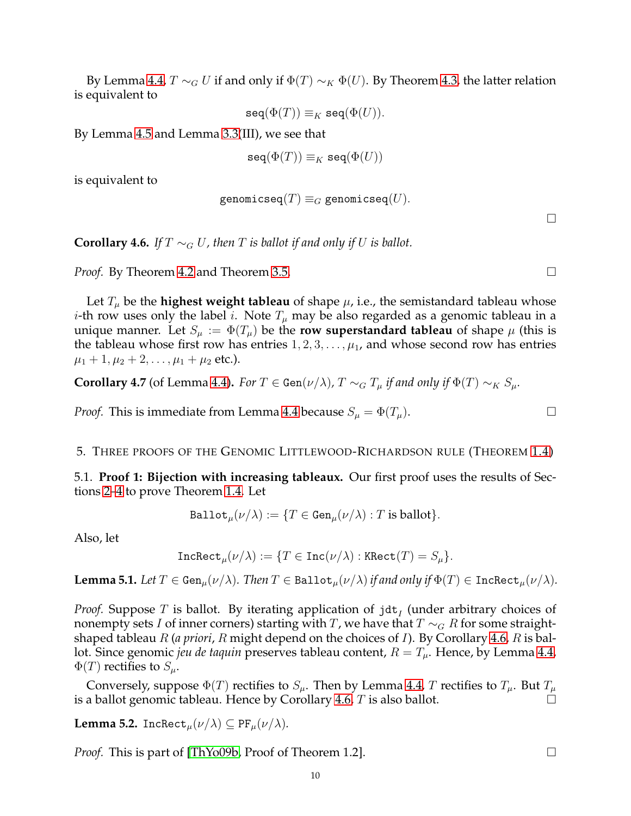By Lemma [4.4,](#page-8-1)  $T \sim_G U$  if and only if  $\Phi(T) \sim_K \Phi(U)$ . By Theorem [4.3,](#page-8-0) the latter relation is equivalent to

 $\text{seq}(\Phi(T)) \equiv_K \text{seq}(\Phi(U)).$ 

By Lemma [4.5](#page-8-2) and Lemma [3.3\(](#page-6-1)III), we see that

$$
\mathtt{seq}(\Phi(T)) \equiv_K \mathtt{seq}(\Phi(U))
$$

is equivalent to

$$
\mathtt{genomicseq}(T)\equiv_G\mathtt{genomicseq}(U).
$$

<span id="page-9-2"></span>**Corollary 4.6.** *If*  $T \sim_G U$ , then  $T$  *is ballot if and only if*  $U$  *is ballot.* 

*Proof.* By Theorem [4.2](#page-8-3) and Theorem [3.5.](#page-7-1) □

Let  $T_{\mu}$  be the **highest weight tableau** of shape  $\mu$ , i.e., the semistandard tableau whose *i*-th row uses only the label *i*. Note  $T_{\mu}$  may be also regarded as a genomic tableau in a unique manner. Let  $S_\mu := \Phi(T_\mu)$  be the **row superstandard tableau** of shape  $\mu$  (this is the tableau whose first row has entries  $1, 2, 3, \ldots, \mu_1$ , and whose second row has entries  $\mu_1 + 1, \mu_2 + 2, \ldots, \mu_1 + \mu_2$  etc.).

**Corollary 4.7** (of Lemma [4.4\)](#page-8-1). *For*  $T \in Gen(\nu/\lambda)$ ,  $T \sim_G T_u$  *if and only if*  $\Phi(T) \sim_K S_u$ *.* 

*Proof.* This is immediate from Lemma [4.4](#page-8-1) because  $S_{\mu} = \Phi(T_{\mu})$ .

<span id="page-9-1"></span><span id="page-9-0"></span>5. THREE PROOFS OF THE GENOMIC LITTLEWOOD-RICHARDSON RULE (THEOREM [1.4\)](#page-4-1)

5.1. **Proof 1: Bijection with increasing tableaux.** Our first proof uses the results of Sections [2–](#page-4-0)[4](#page-7-0) to prove Theorem [1.4.](#page-4-1) Let

$$
\texttt{Ballot}_{\mu}(\nu/\lambda) := \{ T \in \texttt{Gen}_{\mu}(\nu/\lambda) : T \text{ is ballot} \}.
$$

Also, let

$$
\mathtt{Incheck}_\mu(\nu/\lambda):=\{T\in\mathtt{Inc}(\nu/\lambda):\mathtt{KRect}(T)=S_\mu\}.
$$

<span id="page-9-3"></span>**Lemma 5.1.** *Let*  $T \in \text{Gen}_{\mu}(\nu/\lambda)$ *. Then*  $T \in \text{Ballot}_{\mu}(\nu/\lambda)$  *if and only if*  $\Phi(T) \in \text{IncRect}_{\mu}(\nu/\lambda)$ *.* 

*Proof.* Suppose  $T$  is ballot. By iterating application of  $\mathtt{jdt}_I$  (under arbitrary choices of nonempty sets I of inner corners) starting with T, we have that  $T \sim_G R$  for some straightshaped tableau R (*a priori*, R might depend on the choices of I). By Corollary [4.6,](#page-9-2) R is ballot. Since genomic *jeu de taquin* preserves tableau content,  $R = T_{\mu}$ . Hence, by Lemma [4.4,](#page-8-1)  $\Phi(T)$  rectifies to  $S_{\mu}$ .

Conversely, suppose  $\Phi(T)$  rectifies to  $S_\mu$ . Then by Lemma [4.4,](#page-8-1) T rectifies to  $T_\mu$ . But  $T_\mu$ is a ballot genomic tableau. Hence by Corollary [4.6,](#page-9-2)  $T$  is also ballot.

<span id="page-9-4"></span>**Lemma 5.2.** IncRect<sub>µ</sub> $(\nu/\lambda) \subseteq PF_\mu(\nu/\lambda)$ .

*Proof.* This is part of [\[ThYo09b,](#page-29-0) Proof of Theorem 1.2]. □

 $\Box$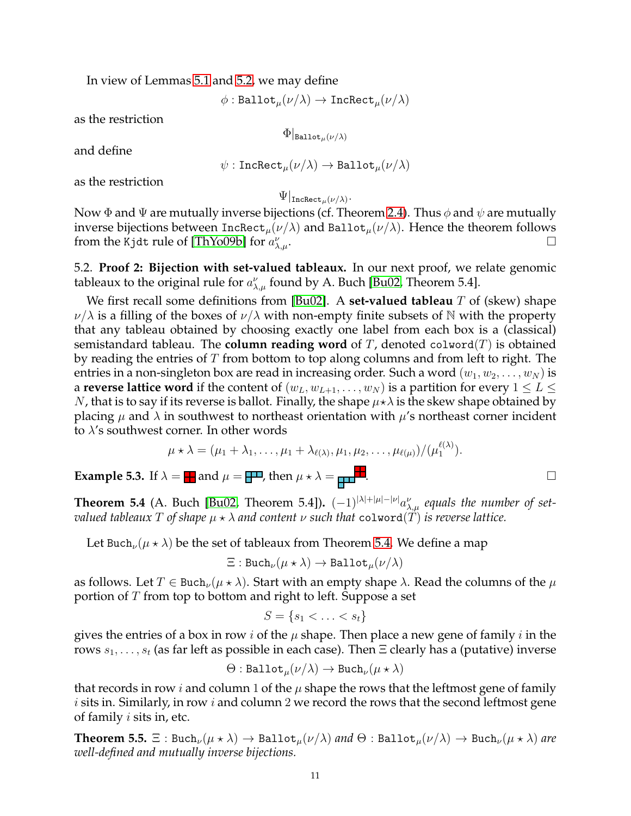In view of Lemmas [5.1](#page-9-3) and [5.2,](#page-9-4) we may define

 $\phi$ : Ballot $_{\mu}(\nu/\lambda) \rightarrow \text{IncRect}_{\mu}(\nu/\lambda)$ 

as the restriction

$$
\Phi|_{\texttt{Ballot}_{\mu}(\nu/\lambda)}
$$

and define

$$
\psi: \mathtt{IncRect}_\mu(\nu/\lambda) \to \mathtt{Ballot}_\mu(\nu/\lambda)
$$

as the restriction

$$
\Psi|_{\mathtt{IncRect}_\mu(\nu/\lambda)}.
$$

Now  $\Phi$  and  $\Psi$  are mutually inverse bijections (cf. Theorem [2.4\)](#page-5-0). Thus  $\phi$  and  $\psi$  are mutually inverse bijections between  $Incheck_{\mu}(\nu/\lambda)$  and Ballot $_{\mu}(\nu/\lambda)$ . Hence the theorem follows from the Kjdt rule of [\[ThYo09b\]](#page-29-0) for  $a_\lambda^\nu$  $\bigcup_{\lambda,\mu}$ .

<span id="page-10-0"></span>5.2. **Proof 2: Bijection with set-valued tableaux.** In our next proof, we relate genomic tableaux to the original rule for  $a_{\lambda,\mu}^{\nu}$  found by A. Buch [\[Bu02,](#page-27-2) Theorem 5.4].

We first recall some definitions from [\[Bu02\]](#page-27-2). A **set-valued tableau** T of (skew) shape  $\nu/\lambda$  is a filling of the boxes of  $\nu/\lambda$  with non-empty finite subsets of N with the property that any tableau obtained by choosing exactly one label from each box is a (classical) semistandard tableau. The **column reading word** of  $T$ , denoted colword( $T$ ) is obtained by reading the entries of T from bottom to top along columns and from left to right. The entries in a non-singleton box are read in increasing order. Such a word  $(w_1, w_2, \ldots, w_N)$  is a **reverse lattice word** if the content of  $(w_L, w_{L+1}, \ldots, w_N)$  is a partition for every  $1 \leq L \leq$ N, that is to say if its reverse is ballot. Finally, the shape  $\mu\star\lambda$  is the skew shape obtained by placing  $\mu$  and  $\lambda$  in southwest to northeast orientation with  $\mu$ 's northeast corner incident to  $\lambda$ 's southwest corner. In other words

$$
\mu \star \lambda = (\mu_1 + \lambda_1, \ldots, \mu_1 + \lambda_{\ell(\lambda)}, \mu_1, \mu_2, \ldots, \mu_{\ell(\mu)})/(\mu_1^{\ell(\lambda)}).
$$

**Example 5.3.** If  $\lambda = \frac{1}{2}$  and  $\mu = \frac{1}{2}$ , then  $\mu \star \lambda = \frac{1}{2}$ .

<span id="page-10-1"></span>**Theorem 5.4** (A. Buch [\[Bu02,](#page-27-2) Theorem 5.4]).  $(-1)^{|\lambda|+|\mu|-|\nu|}a_{\lambda,\mu}^{\nu}$  equals the number of set*valued tableaux* T of shape  $\mu \star \lambda$  and content  $\nu$  such that colword(T) is reverse lattice.

Let Buch<sub> $\nu(\mu \star \lambda)$  be the set of tableaux from Theorem [5.4.](#page-10-1) We define a map</sub>

$$
\Xi: \mathrm{Buch}_{\nu}(\mu \star \lambda) \to \mathrm{Ballot}_{\mu}(\nu/\lambda)
$$

as follows. Let  $T \in \text{Buch}_{\nu}(\mu \star \lambda)$ . Start with an empty shape  $\lambda$ . Read the columns of the  $\mu$ portion of T from top to bottom and right to left. Suppose a set

$$
S = \{s_1 < \ldots < s_t\}
$$

gives the entries of a box in row i of the  $\mu$  shape. Then place a new gene of family i in the rows  $s_1, \ldots, s_t$  (as far left as possible in each case). Then  $\Xi$  clearly has a (putative) inverse

$$
\Theta: \texttt{Ballot}_{\mu}(\nu/\lambda) \to \texttt{Buch}_{\nu}(\mu \star \lambda)
$$

that records in row *i* and column 1 of the  $\mu$  shape the rows that the leftmost gene of family  $i$  sits in. Similarly, in row  $i$  and column 2 we record the rows that the second leftmost gene of family  $i$  sits in, etc.

<span id="page-10-2"></span>**Theorem 5.5.**  $\Xi$  : Buch<sub> $\nu$ </sub>( $\mu \star \lambda$ )  $\to$  Ballot<sub> $\mu$ </sub>( $\nu/\lambda$ ) *and*  $\Theta$  : Ballot<sub> $\mu$ </sub>( $\nu/\lambda$ )  $\to$  Buch<sub> $\nu$ </sub>( $\mu \star \lambda$ ) *are well-defined and mutually inverse bijections.*

 $(1)$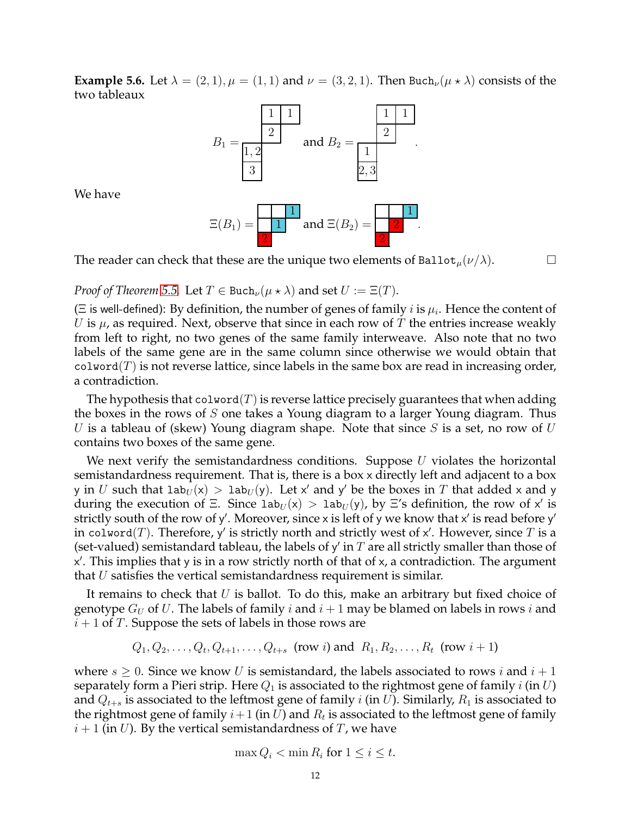<span id="page-11-0"></span>**Example 5.6.** Let  $\lambda = (2, 1), \mu = (1, 1)$  and  $\nu = (3, 2, 1)$ . Then Buch $_{\nu}(\mu \star \lambda)$  consists of the two tableaux



We have

$$
\Xi(B_1)=\frac{1}{2}
$$
 and 
$$
\Xi(B_2)=\frac{1}{2}
$$
.

The reader can check that these are the unique two elements of Ballot<sub> $\mu$ </sub> $(\nu/\lambda)$ .

*Proof of Theorem* [5.5.](#page-10-2) Let  $T \in \text{Buch}_{\nu}(\mu \star \lambda)$  and set  $U := \Xi(T)$ .

( $\Xi$  is well-defined): By definition, the number of genes of family  $i$  is  $\mu_i.$  Hence the content of U is  $\mu$ , as required. Next, observe that since in each row of T the entries increase weakly from left to right, no two genes of the same family interweave. Also note that no two labels of the same gene are in the same column since otherwise we would obtain that  $\text{colword}(T)$  is not reverse lattice, since labels in the same box are read in increasing order, a contradiction.

The hypothesis that  $\text{colword}(T)$  is reverse lattice precisely guarantees that when adding the boxes in the rows of  $S$  one takes a Young diagram to a larger Young diagram. Thus U is a tableau of (skew) Young diagram shape. Note that since S is a set, no row of  $U$ contains two boxes of the same gene.

We next verify the semistandardness conditions. Suppose  $U$  violates the horizontal semistandardness requirement. That is, there is a box x directly left and adjacent to a box y in  $U$  such that  $lab_U(x) > lab_U(y)$ . Let x' and y' be the boxes in  $T$  that added x and y during the execution of  $\Xi$ . Since  $lab_U(x) > lab_U(y)$ , by  $\Xi$ 's definition, the row of x' is strictly south of the row of y'. Moreover, since x is left of y we know that x' is read before y' in colword $(T)$ . Therefore, y' is strictly north and strictly west of x'. However, since  $T$  is a (set-valued) semistandard tableau, the labels of y' in  $T$  are all strictly smaller than those of x ′ . This implies that y is in a row strictly north of that of x, a contradiction. The argument that  $U$  satisfies the vertical semistandardness requirement is similar.

It remains to check that  $U$  is ballot. To do this, make an arbitrary but fixed choice of genotype  $G_U$  of U. The labels of family i and  $i + 1$  may be blamed on labels in rows i and  $i + 1$  of T. Suppose the sets of labels in those rows are

 $Q_1, Q_2, \ldots, Q_t, Q_{t+1}, \ldots, Q_{t+s}$  (row i) and  $R_1, R_2, \ldots, R_t$  (row  $i+1$ )

where  $s \geq 0$ . Since we know U is semistandard, the labels associated to rows i and  $i + 1$ separately form a Pieri strip. Here  $Q_1$  is associated to the rightmost gene of family i (in U) and  $Q_{t+s}$  is associated to the leftmost gene of family i (in U). Similarly,  $R_1$  is associated to the rightmost gene of family  $i+1$  (in  $U$ ) and  $R_t$  is associated to the leftmost gene of family  $i+1$  (in U). By the vertical semistandardness of T, we have

$$
\max Q_i < \min R_i \text{ for } 1 \le i \le t.
$$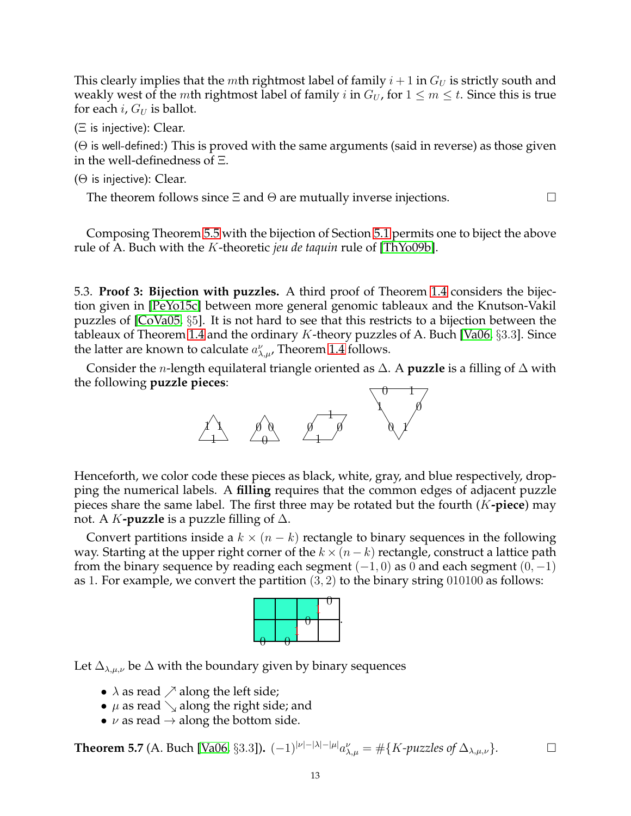This clearly implies that the *m*th rightmost label of family  $i + 1$  in  $G_U$  is strictly south and weakly west of the *m*th rightmost label of family *i* in  $G_U$ , for  $1 \le m \le t$ . Since this is true for each *i*,  $G_U$  is ballot.

(Ξ is injective): Clear.

 $(\Theta)$  is well-defined:) This is proved with the same arguments (said in reverse) as those given in the well-definedness of Ξ.

 $(\Theta$  is injective): Clear.

The theorem follows since  $\Xi$  and  $\Theta$  are mutually inverse injections.  $\Box$ 

Composing Theorem [5.5](#page-10-2) with the bijection of Section [5.1](#page-9-1) permits one to biject the above rule of A. Buch with the K-theoretic *jeu de taquin* rule of [\[ThYo09b\]](#page-29-0).

<span id="page-12-0"></span>5.3. **Proof 3: Bijection with puzzles.** A third proof of Theorem [1.4](#page-4-1) considers the bijection given in [\[PeYo15c\]](#page-28-17) between more general genomic tableaux and the Knutson-Vakil puzzles of [\[CoVa05,](#page-28-22) §5]. It is not hard to see that this restricts to a bijection between the tableaux of Theorem [1.4](#page-4-1) and the ordinary  $K$ -theory puzzles of A. Buch [\[Va06,](#page-29-7) §3.3]. Since the latter are known to calculate  $a_{\lambda,\mu}^{\nu}$ , Theorem [1.4](#page-4-1) follows.

Consider the n-length equilateral triangle oriented as ∆. A **puzzle** is a filling of ∆ with the following **puzzle pieces**:



Henceforth, we color code these pieces as black, white, gray, and blue respectively, dropping the numerical labels. A **filling** requires that the common edges of adjacent puzzle pieces share the same label. The first three may be rotated but the fourth (K**-piece**) may not. A K**-puzzle** is a puzzle filling of ∆.

Convert partitions inside a  $k \times (n - k)$  rectangle to binary sequences in the following way. Starting at the upper right corner of the  $k \times (n - k)$  rectangle, construct a lattice path from the binary sequence by reading each segment  $(-1, 0)$  as 0 and each segment  $(0, -1)$ as 1. For example, we convert the partition  $(3, 2)$  to the binary string 010100 as follows:



Let  $\Delta_{\lambda,\mu,\nu}$  be  $\Delta$  with the boundary given by binary sequences

- $\lambda$  as read  $\nearrow$  along the left side;
- $\mu$  as read  $\searrow$  along the right side; and
- $\nu$  as read  $\rightarrow$  along the bottom side.

**Theorem 5.7** (A. Buch [\[Va06,](#page-29-7) §3.3]).  $(-1)^{|\nu|-|\lambda|-|\mu|} a_{\lambda,\mu}^{\nu} = \#\{K$ -puzzles of  $\Delta_{\lambda,\mu,\nu}\}$ . □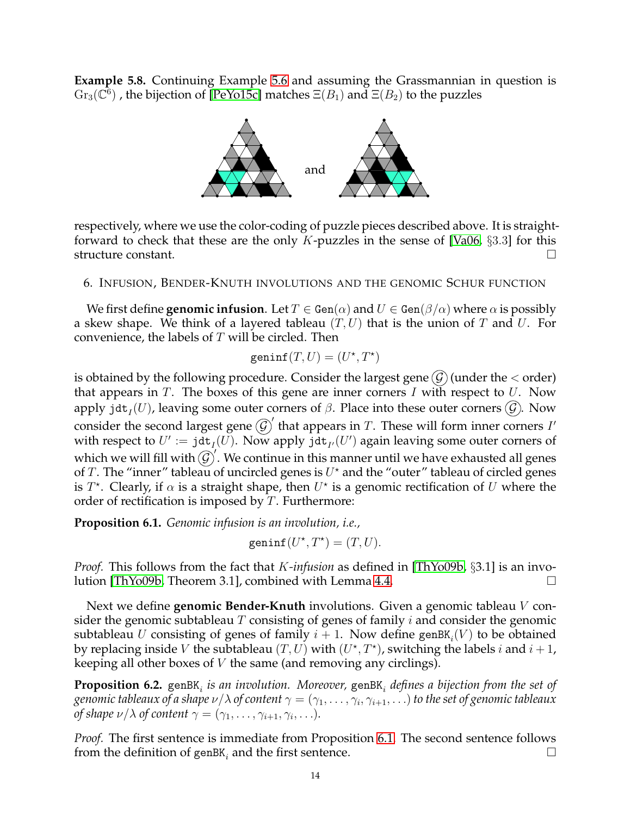**Example 5.8.** Continuing Example [5.6](#page-11-0) and assuming the Grassmannian in question is  $\mathrm{Gr}_3(\bar{\mathbb{C}^6})$  , the bijection of [\[PeYo15c\]](#page-28-17) matches  $\Xi(B_1)$  and  $\Xi(B_2)$  to the puzzles



respectively, where we use the color-coding of puzzle pieces described above. It is straight-forward to check that these are the only K-puzzles in the sense of [\[Va06,](#page-29-7)  $\S 3.3$ ] for this structure constant.

<span id="page-13-0"></span>6. INFUSION, BENDER-KNUTH INVOLUTIONS AND THE GENOMIC SCHUR FUNCTION

We first define **genomic infusion**. Let  $T \in \text{Gen}(\alpha)$  and  $U \in \text{Gen}(\beta/\alpha)$  where  $\alpha$  is possibly a skew shape. We think of a layered tableau  $(T, U)$  that is the union of T and U. For convenience, the labels of  $T$  will be circled. Then

$$
\operatorname{geninf}(T, U) = (U^\star, T^\star)
$$

is obtained by the following procedure. Consider the largest gene  $(G)$  (under the  $\lt$  order) that appears in  $T$ . The boxes of this gene are inner corners  $I$  with respect to  $U$ . Now apply jdt $_I(U)$ , leaving some outer corners of  $\beta$ . Place into these outer corners  $(\mathcal{G})$ . Now consider the second largest gene  $\mathcal{G}'$  that appears in T. These will form inner corners I' with respect to  $U' := \text{jet}_I(U)$ . Now apply  $\text{jet}_{I'}(U')$  again leaving some outer corners of which we will fill with  $\widehat{(G)}$ . We continue in this manner until we have exhausted all genes of T. The "inner" tableau of uncircled genes is  $U^*$  and the "outer" tableau of circled genes is  $T^*$ . Clearly, if  $\alpha$  is a straight shape, then  $U^*$  is a genomic rectification of  $U$  where the order of rectification is imposed by  $T$ . Furthermore:

<span id="page-13-1"></span>**Proposition 6.1.** *Genomic infusion is an involution, i.e.,*

geninf $(U^*, T^*) = (T, U).$ 

*Proof.* This follows from the fact that K*-infusion* as defined in [\[ThYo09b,](#page-29-0) §3.1] is an involution [\[ThYo09b,](#page-29-0) Theorem 3.1], combined with Lemma [4.4.](#page-8-1)

Next we define **genomic Bender-Knuth** involutions. Given a genomic tableau V consider the genomic subtableau  $T$  consisting of genes of family  $i$  and consider the genomic subtableau  $U$  consisting of genes of family  $i+1$ . Now define genBK $_i(V)$  to be obtained by replacing inside V the subtableau  $(T, U)$  with  $(U^*, T^*)$ , switching the labels i and  $i + 1$ , keeping all other boxes of V the same (and removing any circlings).

<span id="page-13-2"></span> $\bf{Proposition~6.2.}$  genBK $_i$  is an involution. Moreover, genBK $_i$  defines a bijection from the set of genomic tableaux of a shape  $\nu/\lambda$  of content  $\gamma=(\gamma_1,\ldots,\gamma_i,\gamma_{i+1},\ldots)$  to the set of genomic tableaux *of shape*  $\nu/\lambda$  *of content*  $\gamma = (\gamma_1, \ldots, \gamma_{i+1}, \gamma_i, \ldots).$ 

*Proof.* The first sentence is immediate from Proposition [6.1.](#page-13-1) The second sentence follows from the definition of genBK<sub>i</sub> and the first sentence.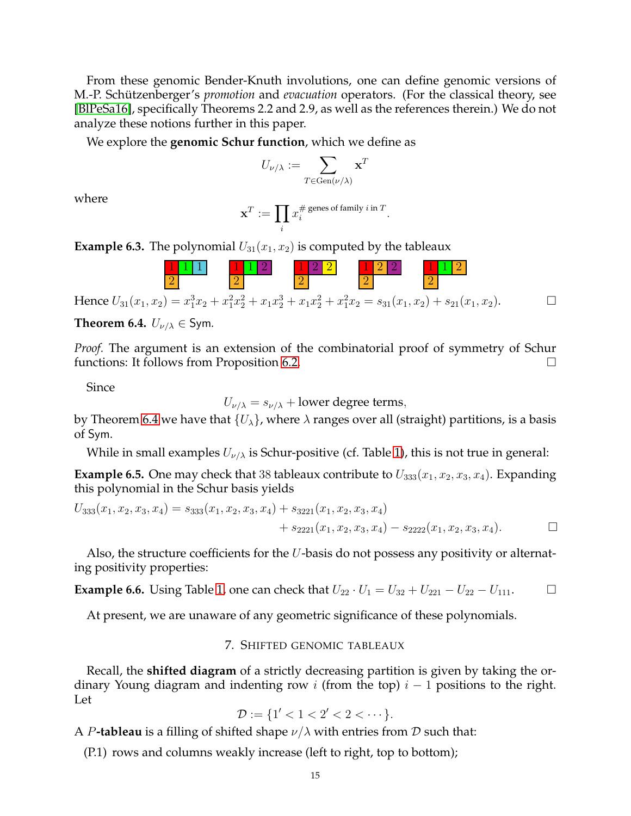From these genomic Bender-Knuth involutions, one can define genomic versions of M.-P. Schützenberger's *promotion* and *evacuation* operators. (For the classical theory, see [\[BlPeSa16\]](#page-27-4), specifically Theorems 2.2 and 2.9, as well as the references therein.) We do not analyze these notions further in this paper.

We explore the **genomic Schur function**, which we define as

$$
U_{\nu/\lambda}:=\sum_{T\in \operatorname{Gen}(\nu/\lambda)}\mathbf{x}^T
$$

where

$$
\mathbf{x}^T := \prod_i x_i^{\# \text{ genes of family } i \text{ in } T}.
$$

**Example 6.3.** The polynomial  $U_{31}(x_1, x_2)$  is computed by the tableaux

1 1 1 2 1 1 2 2 1 2 2 2 1 2 2 2 1 1 2 2

Hence 
$$
U_{31}(x_1, x_2) = x_1^3 x_2 + x_1^2 x_2^2 + x_1 x_2^3 + x_1 x_2^2 + x_1^2 x_2 = s_{31}(x_1, x_2) + s_{21}(x_1, x_2).
$$

<span id="page-14-1"></span>**Theorem 6.4.**  $U_{\nu/\lambda} \in \mathsf{Sym}$ .

*Proof.* The argument is an extension of the combinatorial proof of symmetry of Schur functions: It follows from Proposition [6.2.](#page-13-2)

Since

 $U_{\nu/\lambda} = s_{\nu/\lambda} +$  lower degree terms,

by Theorem [6.4](#page-14-1) we have that  $\{U_{\lambda}\}\$ , where  $\lambda$  ranges over all (straight) partitions, is a basis of Sym.

While in small examples  $U_{\nu/\lambda}$  is Schur-positive (cf. Table [1\)](#page-15-0), this is not true in general:

**Example 6.5.** One may check that 38 tableaux contribute to  $U_{333}(x_1, x_2, x_3, x_4)$ . Expanding this polynomial in the Schur basis yields

$$
U_{333}(x_1, x_2, x_3, x_4) = s_{333}(x_1, x_2, x_3, x_4) + s_{3221}(x_1, x_2, x_3, x_4) + s_{2221}(x_1, x_2, x_3, x_4) - s_{2222}(x_1, x_2, x_3, x_4).
$$

Also, the structure coefficients for the U-basis do not possess any positivity or alternating positivity properties:

**Example 6.6.** Using Table [1,](#page-15-0) one can check that  $U_{22} \cdot U_1 = U_{32} + U_{221} - U_{22} - U_{111}$ . □

<span id="page-14-0"></span>At present, we are unaware of any geometric significance of these polynomials.

# 7. SHIFTED GENOMIC TABLEAUX

Recall, the **shifted diagram** of a strictly decreasing partition is given by taking the ordinary Young diagram and indenting row i (from the top)  $i - 1$  positions to the right. Let

$$
\mathcal{D} := \{1' < 1 < 2' < 2 < \cdots\}.
$$

A P**-tableau** is a filling of shifted shape  $\nu/\lambda$  with entries from D such that:

(P.1) rows and columns weakly increase (left to right, top to bottom);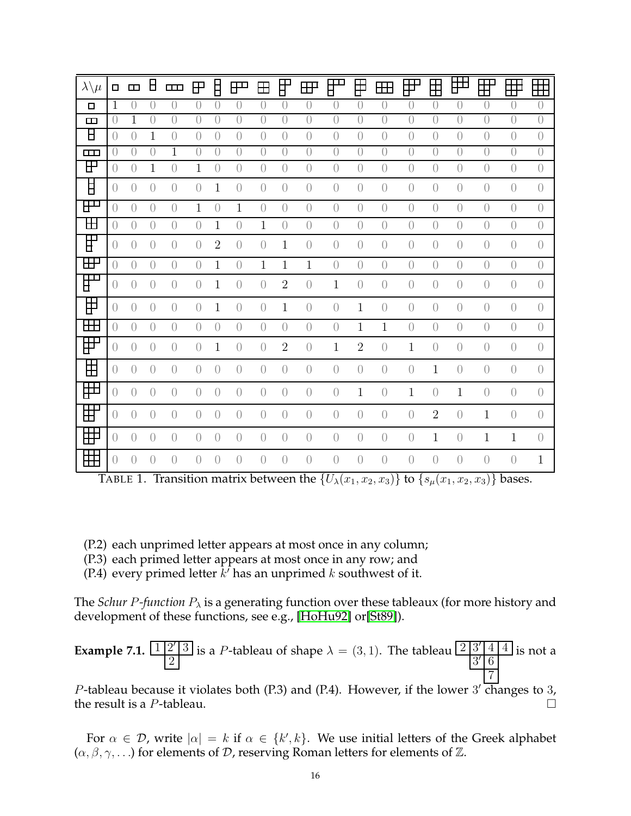| $\lambda\backslash\mu$                          | $\Box$           | $\Box$           | Е                | $\Box$           | $\mathbf{P}$     | Ħ              | $\mathbb{H}^{\mathbf{m}}$ | 田                | IŦ               | $\mathbb{H}^1$   | ₽™<br>D          | ╤                | ÆÐ               | $\mathbb{H}^{\mathbb{P}}$ | ╞╪             | $\boxplus$       | $\mathbb{H}^{\mathsf{p}}$ | $\pm$            | $\pm$            |
|-------------------------------------------------|------------------|------------------|------------------|------------------|------------------|----------------|---------------------------|------------------|------------------|------------------|------------------|------------------|------------------|---------------------------|----------------|------------------|---------------------------|------------------|------------------|
| 口                                               | $\mathbf{1}$     | $\left( \right)$ | $\left( \right)$ | $\left( \right)$ | $\bigcap$        | $\overline{0}$ | $\left( \right)$          | $\left( \right)$ | $\left( \right)$ | $\bigcirc$       | $\left( \right)$ | $\left( \right)$ | $\overline{0}$   | $\overline{0}$            | $\overline{0}$ | $\overline{0}$   | $\overline{0}$            | $\overline{0}$   | $\overline{0}$   |
| $\Box$                                          | $\left( \right)$ | 1                | $\left( \right)$ | $\bigcap$        | $\bigcap$        | $\overline{0}$ | $\bigcap$                 | $\left( \right)$ | $\left( \right)$ | $\left( \right)$ | $\sqrt{a}$       | $\bigcirc$       | $\left( \right)$ | $\overline{0}$            | $\overline{0}$ | $\left( \right)$ | $\overline{0}$            | $\overline{0}$   | $\overline{0}$   |
| $\bm{\mathsf{H}}$                               | $\left( \right)$ | $\left( \right)$ | $\mathbf{1}$     | $\left( \right)$ | $\left( \right)$ | $\sqrt{a}$     | $\left( \right)$          | $\left( \right)$ | $\sqrt{a}$       | $\bigcirc$       | $\bigcirc$       | $\bigcirc$       | $\overline{0}$   | $\overline{0}$            | $\overline{0}$ | $\sqrt{a}$       | $\sqrt{a}$                | $\overline{0}$   | $\bigcirc$       |
| $\Box$                                          | $\theta$         | $\theta$         | $\theta$         | 1                | $\bigcirc$       | $\theta$       | $\left( \right)$          | $\theta$         | $\theta$         | $\theta$         | $\left( \right)$ | $\theta$         | $\theta$         | $\left( \right)$          | $\theta$       | $\theta$         | $\theta$                  | $\theta$         | $\overline{0}$   |
| ⊞                                               | $\left( \right)$ | $\overline{0}$   | $\mathbf 1$      | $\overline{0}$   | $\mathbf{1}$     | $\bigcirc$     | $\overline{0}$            | $\overline{0}$   | $\sqrt{a}$       | $\overline{0}$   | $\bigcirc$       | $\bigcirc$       | $\left( \right)$ | $\bigcirc$                | $\bigcirc$     | $\bigcirc$       | $\bigcirc$                | $\bigcirc$       | $\bigcirc$       |
| F                                               | $\left( \right)$ | $\overline{0}$   | $\overline{0}$   | $\left( \right)$ | $\left( \right)$ | $\mathbf{1}$   | $\bigcirc$                | $\left( \right)$ | $\sqrt{a}$       | $\bigcirc$       | $\bigcirc$       | $\bigcirc$       | $\left( \right)$ | $\bigcirc$                | $\bigcirc$     | $\sqrt{a}$       | $\sqrt{a}$                | $\bigcirc$       | $\bigcirc$       |
| ⊞                                               | $\left( \right)$ | $\left( \right)$ | $\left( \right)$ | $\left( \right)$ | $\mathbf{1}$     | $\overline{0}$ | $\mathbf{1}$              | $\left( \right)$ | $\left( \right)$ | $\overline{0}$   | $\bigcirc$       | $\bigcirc$       | $\sqrt{a}$       | $\bigcirc$                | $\overline{0}$ | $\sqrt{a}$       | $\sqrt{a}$                | $\overline{0}$   | $\bigcirc$       |
| 田                                               | $\left( \right)$ | $\left( \right)$ | $\left( \right)$ | $\left( \right)$ | $\left( \right)$ | $\mathbf{1}$   | $\left( \right)$          | $\mathbf{1}$     | $\left( \right)$ | $\overline{0}$   | $\left( \right)$ | $\left( \right)$ | $\overline{0}$   | $\bigcirc$                | $\overline{0}$ | $\left( \right)$ | $\overline{0}$            | $\overline{0}$   | $\bigcirc$       |
| ⊞                                               | $\left( \right)$ | $\left( \right)$ | $\overline{0}$   | $\left( \right)$ | $\left( \right)$ | $\overline{2}$ | $\bigcirc$                | $\overline{0}$   | $\mathbf{1}$     | $\overline{0}$   | $\left( \right)$ | $\left( \right)$ | $\overline{0}$   | $\bigcirc$                | $\overline{0}$ | $\left( \right)$ | $\overline{0}$            | $\overline{0}$   | $\overline{0}$   |
| ⊞                                               | $\left( \right)$ | $\left( \right)$ | $\overline{0}$   | $\overline{0}$   | $\sqrt{a}$       | $\mathbf{1}$   | $\bigcirc$                | $\mathbf{1}$     | $\mathbf{1}$     | $\mathbf{1}$     | $\bigcirc$       | $\bigcirc$       | $\sqrt{a}$       | $\bigcirc$                | $\sqrt{a}$     | $\sqrt{a}$       | $\overline{0}$            | $\overline{0}$   | $\bigcirc$       |
| $\overline{\overline{\mathsf{H}}^{\mathbf{m}}}$ | $\bigcirc$       | $\bigcirc$       | $\bigcirc$       | $\overline{0}$   | $\sqrt{a}$       | $\mathbf{1}$   | $\bigcirc$                | $\bigcirc$       | $\overline{2}$   | $\bigcirc$       | $\mathbf{1}$     | $\bigcirc$       | $\bigcirc$       | $\bigcirc$                | $\bigcirc$     | $\bigcirc$       | $\bigcirc$                | $\bigcirc$       | $\bigcirc$       |
| 田                                               | $\left( \right)$ | $\overline{0}$   | $\overline{0}$   | $\left( \right)$ | $\overline{0}$   | $\mathbf{1}$   | $\bigcirc$                | $\bigcirc$       | $\mathbf{1}$     | $\bigcirc$       | $\bigcirc$       | $\mathbf{1}$     | $\bigcirc$       | $\bigcirc$                | $\bigcirc$     | $\bigcirc$       | $\bigcirc$                | $\sqrt{a}$       | $\bigcirc$       |
| $\mathbb H$                                     | $\left( \right)$ | $\overline{0}$   | $\overline{0}$   | $\left( \right)$ | $\bigcirc$       | $\bigcirc$     | $\left( \right)$          | $\sqrt{a}$       | $\bigcirc$       | $\bigcirc$       | $\bigcirc$       | $\,1\,$          | $\mathbf{1}$     | $\bigcirc$                | $\bigcirc$     | $\sqrt{a}$       | $\overline{0}$            | $\bigcirc$       | $\bigcirc$       |
| ₩                                               | $\left( \right)$ | $\overline{0}$   | $\overline{0}$   | $\left( \right)$ | $\overline{0}$   | 1              | $\overline{0}$            | $\overline{0}$   | $\overline{2}$   | $\bigcirc$       | $\mathbf{1}$     | $\overline{2}$   | $\bigcirc$       | $\mathbf{1}$              | $\bigcirc$     | $\sqrt{a}$       | $\bigcirc$                | $\bigcirc$       | $\bigcirc$       |
| ⊞                                               | $\left( \right)$ | $\overline{0}$   | $\overline{0}$   | $\left( \right)$ | $\sqrt{a}$       | $\bigcirc$     | $\left( \right)$          | $\overline{0}$   | $\bigcirc$       | $\bigcirc$       | $\bigcirc$       | $\bigcirc$       | $\bigcirc$       | $\bigcirc$                | $1\,$          | $\sqrt{a}$       | $\bigcirc$                | $\left( \right)$ | $\left( \right)$ |
| ⊞                                               | $\left( \right)$ | $\overline{0}$   | $\overline{0}$   | $\left( \right)$ | $\sqrt{a}$       | $\bigcirc$     | $\bigcirc$                | $\overline{0}$   | $\bigcirc$       | $\bigcirc$       | $\bigcirc$       | $\mathbf{1}$     | $\bigcirc$       | $\mathbf{1}$              | $\bigcirc$     | $\mathbf{1}$     | $\bigcirc$                | $\left( \right)$ | $\bigcirc$       |
| ▛                                               | $\left( \right)$ | $\left( \right)$ | $\overline{0}$   | $\left( \right)$ | $\left( \right)$ | $\bigcirc$     | $\bigcirc$                | $\overline{0}$   | $\bigcirc$       | $\bigcirc$       | $\bigcirc$       | $\bigcirc$       | $\Large{0}$      | $\bigcirc$                | $\overline{2}$ | $\sqrt{a}$       | $\mathbf{1}$              | $\sqrt{a}$       | $\bigcirc$       |
| ₩                                               | $\left( \right)$ | $\left( \right)$ | $\overline{0}$   | $\left( \right)$ | $\left( \right)$ | $\bigcirc$     | $\overline{0}$            | $\overline{0}$   | $\bigcirc$       | $\bigcirc$       | $\bigcirc$       | $\bigcirc$       | $\bigcirc$       | $\bigcirc$                | $\mathbf{1}$   | $\bigcirc$       | $\mathbf{1}$              | $\mathbf 1$      | $\bigcirc$       |
| 田                                               | $\left( \right)$ | $\left( \right)$ | $\bigcirc$       | $\left( \right)$ | $\left( \right)$ | $\overline{0}$ | $\left( \right)$          | $\left( \right)$ | $\overline{0}$   | $\bigcirc$       | $\bigcirc$       | $\overline{0}$   | $\overline{0}$   | $\bigcirc$                | $\overline{0}$ | $\left( \right)$ | $\left( \right)$          | $\bigcirc$       | $\mathbf{1}$     |

<span id="page-15-0"></span>TABLE 1. Transition matrix between the  $\{U_{\lambda}(x_1, x_2, x_3)\}$  to  $\{s_{\mu}(x_1, x_2, x_3)\}$  bases.

- (P.2) each unprimed letter appears at most once in any column;
- (P.3) each primed letter appears at most once in any row; and
- (P.4) every primed letter  $k'$  has an unprimed  $k$  southwest of it.

The *Schur P-function*  $P_{\lambda}$  is a generating function over these tableaux (for more history and development of these functions, see e.g., [\[HoHu92\]](#page-28-23) or[\[St89\]](#page-29-8)).

**Example 7.1.** 
$$
\frac{12'3}{2}
$$
 is a *P*-tableau of shape  $\lambda = (3,1)$ . The tableau  $\frac{23'44}{3'6}$  is not a  $\frac{3'6}{7}$ 

P-tableau because it violates both  $(P.3)$  and  $(P.4)$ . However, if the lower 3' changes to 3, the result is a P-tableau.

For  $\alpha \in \mathcal{D}$ , write  $|\alpha| = k$  if  $\alpha \in \{k', k\}$ . We use initial letters of the Greek alphabet  $(\alpha, \beta, \gamma, \ldots)$  for elements of  $\mathcal{D}$ , reserving Roman letters for elements of  $\mathbb{Z}$ .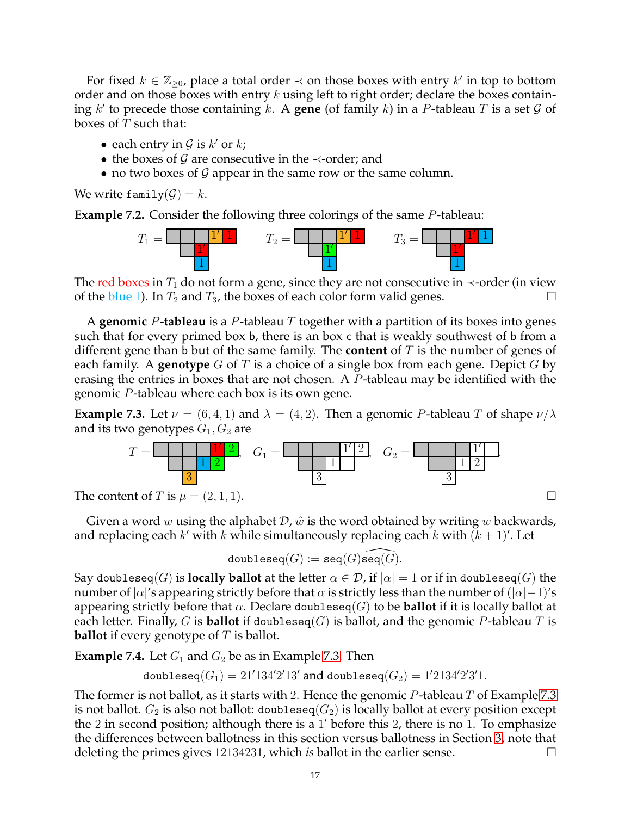For fixed  $k \in \mathbb{Z}_{\geq 0}$ , place a total order  $\prec$  on those boxes with entry  $k'$  in top to bottom order and on those boxes with entry  $k$  using left to right order; declare the boxes containing  $k'$  to precede those containing  $k$ . A **gene** (of family  $k$ ) in a P-tableau T is a set  $\mathcal G$  of boxes of  $T$  such that:

- each entry in  $G$  is  $k'$  or  $k$ ;
- the boxes of G are consecutive in the  $\prec$ -order; and
- no two boxes of  $G$  appear in the same row or the same column.

We write family $(\mathcal{G}) = k$ .

**Example 7.2.** Consider the following three colorings of the same P-tableau:



The red boxes in  $T_1$  do not form a gene, since they are not consecutive in  $\prec$ -order (in view of the blue 1). In  $T_2$  and  $T_3$ , the boxes of each color form valid genes.

A **genomic** P**-tableau** is a P-tableau T together with a partition of its boxes into genes such that for every primed box b, there is an box c that is weakly southwest of b from a different gene than b but of the same family. The **content** of T is the number of genes of each family. A **genotype** G of T is a choice of a single box from each gene. Depict G by erasing the entries in boxes that are not chosen. A P-tableau may be identified with the genomic P-tableau where each box is its own gene.

<span id="page-16-0"></span>**Example 7.3.** Let  $\nu = (6, 4, 1)$  and  $\lambda = (4, 2)$ . Then a genomic P-tableau T of shape  $\nu/\lambda$ and its two genotypes  $G_1, G_2$  are



Given a word w using the alphabet  $\mathcal{D}$ ,  $\hat{w}$  is the word obtained by writing w backwards, and replacing each  $k'$  with  $k$  while simultaneously replacing each  $k$  with  $(k + 1)'$ . Let

$$
{\tt doubleseq}(G):={\tt seq}(G)\widehat{{\tt seq}(G)}.
$$

Say doubleseq(G) is **locally ballot** at the letter  $\alpha \in \mathcal{D}$ , if  $|\alpha| = 1$  or if in doubleseq(G) the number of  $|\alpha|'$ s appearing strictly before that  $\alpha$  is strictly less than the number of  $(|\alpha|-1)'s$ appearing strictly before that  $\alpha$ . Declare doubleseq(G) to be **ballot** if it is locally ballot at each letter. Finally, G is **ballot** if doubleseq(G) is ballot, and the genomic P-tableau T is **ballot** if every genotype of T is ballot.

**Example 7.4.** Let  $G_1$  and  $G_2$  be as in Example [7.3.](#page-16-0) Then

doubleseq $(G_1)=21'134'2'13'$  and doubleseq $(G_2)=1'2134'2'3'1$ .

The former is not ballot, as it starts with 2. Hence the genomic  $P$ -tableau  $T$  of Example [7.3](#page-16-0) is not ballot.  $G_2$  is also not ballot: doubleseq( $G_2$ ) is locally ballot at every position except the 2 in second position; although there is a 1 ′ before this 2, there is no 1. To emphasize the differences between ballotness in this section versus ballotness in Section [3,](#page-6-0) note that deleting the primes gives 12134231, which *is* ballot in the earlier sense.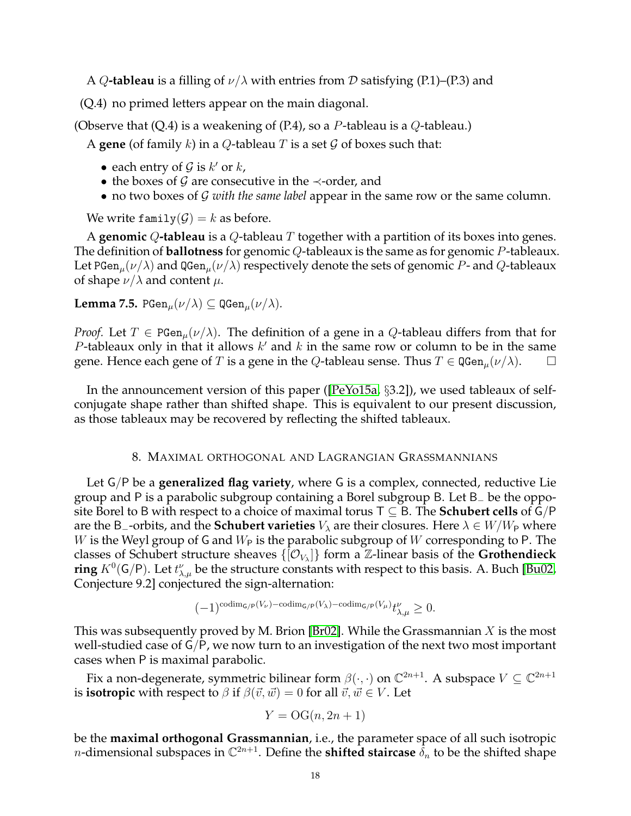A Q-tableau is a filling of  $\nu/\lambda$  with entries from D satisfying (P.1)–(P.3) and

(Q.4) no primed letters appear on the main diagonal.

(Observe that  $(Q.4)$  is a weakening of  $(P.4)$ , so a P-tableau is a Q-tableau.)

A **gene** (of family k) in a Q-tableau T is a set  $\mathcal G$  of boxes such that:

- each entry of  $G$  is  $k'$  or  $k$ ,
- the boxes of G are consecutive in the  $\prec$ -order, and
- no two boxes of *G with the same label* appear in the same row or the same column.

We write family $(\mathcal{G}) = k$  as before.

A **genomic** Q**-tableau** is a Q-tableau T together with a partition of its boxes into genes. The definition of **ballotness** for genomic Q-tableaux is the same as for genomic P-tableaux. Let PGen<sub>u</sub> $(\nu/\lambda)$  and QGen<sub>u</sub> $(\nu/\lambda)$  respectively denote the sets of genomic P- and Q-tableaux of shape  $\nu/\lambda$  and content  $\mu$ .

**Lemma 7.5.** PGen<sub> $\mu$ </sub> $(\nu/\lambda)$   $\subseteq$  QGen $\mu$  $(\nu/\lambda)$ .

*Proof.* Let  $T \in \text{PGen}_{\mu}(\nu/\lambda)$ . The definition of a gene in a Q-tableau differs from that for P-tableaux only in that it allows  $k'$  and  $k$  in the same row or column to be in the same gene. Hence each gene of T is a gene in the Q-tableau sense. Thus  $T \in \mathbb{QGen}_{\mu}(\nu/\lambda)$ .

In the announcement version of this paper ([\[PeYo15a,](#page-28-24) §3.2]), we used tableaux of selfconjugate shape rather than shifted shape. This is equivalent to our present discussion, as those tableaux may be recovered by reflecting the shifted tableaux.

### 8. MAXIMAL ORTHOGONAL AND LAGRANGIAN GRASSMANNIANS

<span id="page-17-0"></span>Let G/P be a **generalized flag variety**, where G is a complex, connected, reductive Lie group and P is a parabolic subgroup containing a Borel subgroup B. Let B<sup>−</sup> be the opposite Borel to B with respect to a choice of maximal torus T ⊆ B. The **Schubert cells** of G/P are the B<sub>-</sub>-orbits, and the **Schubert varieties**  $V_\lambda$  are their closures. Here  $\lambda \in W/W_P$  where W is the Weyl group of G and  $W_P$  is the parabolic subgroup of W corresponding to P. The classes of Schubert structure sheaves  $\{[{\cal O}_{V_{\lambda}}]\}$  form a  ${\Bbb Z}$ -linear basis of the Grothendieck **ring**  $K^0(\mathsf{G}/\mathsf{P})$ . Let  $t_{\lambda,\mu}^{\nu}$  be the structure constants with respect to this basis. A. Buch [\[Bu02,](#page-27-2) Conjecture 9.2] conjectured the sign-alternation:

$$
(-1)^{\mathrm{codim}_{\mathsf{G}/\mathsf{P}}(V_{\nu})-\mathrm{codim}_{\mathsf{G}/\mathsf{P}}(V_{\lambda})-\mathrm{codim}_{\mathsf{G}/\mathsf{P}}(V_{\mu})}t^{\nu}_{\lambda,\mu}\geq 0.
$$

This was subsequently proved by M. Brion [\[Br02\]](#page-27-8). While the Grassmannian  $X$  is the most well-studied case of G/P, we now turn to an investigation of the next two most important cases when P is maximal parabolic.

Fix a non-degenerate, symmetric bilinear form  $\beta(\cdot,\cdot)$  on  $\mathbb{C}^{2n+1}$ . A subspace  $V\subseteq \mathbb{C}^{2n+1}$ is **isotropic** with respect to  $\beta$  if  $\beta(\vec{v}, \vec{w}) = 0$  for all  $\vec{v}, \vec{w} \in V$ . Let

$$
Y = \mathrm{OG}(n, 2n+1)
$$

be the **maximal orthogonal Grassmannian**, i.e., the parameter space of all such isotropic *n*-dimensional subspaces in  $\mathbb{C}^{2n+1}$ . Define the **shifted staircase**  $\tilde{\delta}_n$  to be the shifted shape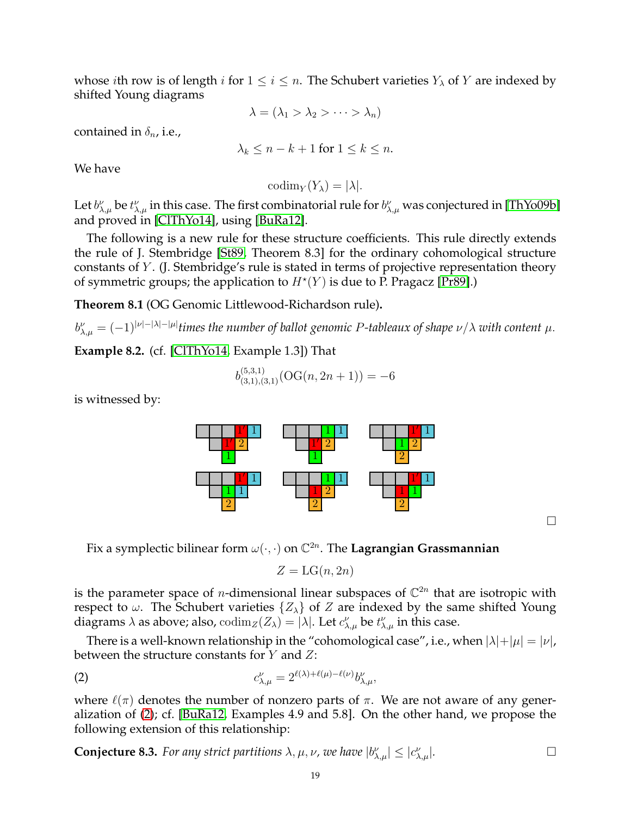whose *i*th row is of length *i* for  $1 \le i \le n$ . The Schubert varieties  $Y_{\lambda}$  of Y are indexed by shifted Young diagrams

$$
\lambda = (\lambda_1 > \lambda_2 > \cdots > \lambda_n)
$$

contained in  $\delta_n$ , i.e.,

$$
\lambda_k \le n - k + 1 \text{ for } 1 \le k \le n.
$$

We have

 $\text{codim}_Y(Y_\lambda) = |\lambda|.$ 

Let  $b^{\nu}_{\lambda,\mu}$  be  $t^{\nu}_{\lambda,\mu}$  in this case. The first combinatorial rule for  $b^{\nu}_{\lambda,\mu}$  was conjectured in [\[ThYo09b\]](#page-29-0) and proved in [\[ClThYo14\]](#page-28-15), using [\[BuRa12\]](#page-27-5).

The following is a new rule for these structure coefficients. This rule directly extends the rule of J. Stembridge [\[St89,](#page-29-8) Theorem 8.3] for the ordinary cohomological structure constants of Y. (J. Stembridge's rule is stated in terms of projective representation theory of symmetric groups; the application to  $H^*(Y)$  is due to P. Pragacz [\[Pr89\]](#page-29-9).)

<span id="page-18-0"></span>**Theorem 8.1** (OG Genomic Littlewood-Richardson rule)**.**

 $b^{\nu}_{\lambda,\mu}=(-1)^{|\nu|-|\lambda|-|\mu|}$ times the number of ballot genomic P-tableaux of shape  $\nu/\lambda$  with content  $\mu.$ 

**Example 8.2.** (cf. [\[ClThYo14,](#page-28-15) Example 1.3]) That

$$
b_{(3,1),(3,1)}^{(5,3,1)}(\mathrm{OG}(n,2n+1)) = -6
$$

is witnessed by:



 $\Box$ 

Fix a symplectic bilinear form  $\omega(\cdot,\cdot)$  on  $\mathbb{C}^{2n}.$  The **Lagrangian Grassmannian** 

<span id="page-18-1"></span>
$$
Z = \mathrm{LG}(n, 2n)
$$

is the parameter space of *n*-dimensional linear subspaces of  $\mathbb{C}^{2n}$  that are isotropic with respect to  $\omega$ . The Schubert varieties  $\{Z_{\lambda}\}\$  of Z are indexed by the same shifted Young diagrams  $\lambda$  as above; also,  $\text{codim}_Z(Z_\lambda) = |\lambda|$ . Let  $c_{\lambda,\mu}^{\nu}$  be  $t_{\lambda,\mu}^{\nu}$  in this case.

There is a well-known relationship in the "cohomological case", i.e., when  $|\lambda| + |\mu| = |\nu|$ , between the structure constants for  $Y$  and  $Z$ :

(2) 
$$
c_{\lambda,\mu}^{\nu} = 2^{\ell(\lambda) + \ell(\mu) - \ell(\nu)} b_{\lambda,\mu}^{\nu},
$$

where  $\ell(\pi)$  denotes the number of nonzero parts of  $\pi$ . We are not aware of any generalization of [\(2\)](#page-18-1); cf. [\[BuRa12,](#page-27-5) Examples 4.9 and 5.8]. On the other hand, we propose the following extension of this relationship:

<span id="page-18-2"></span>**Conjecture 8.3.** For any strict partitions  $\lambda, \mu, \nu$ , we have  $|b_{\lambda,\mu}^{\nu}| \leq |c_{\lambda,\mu}^{\nu}|$ .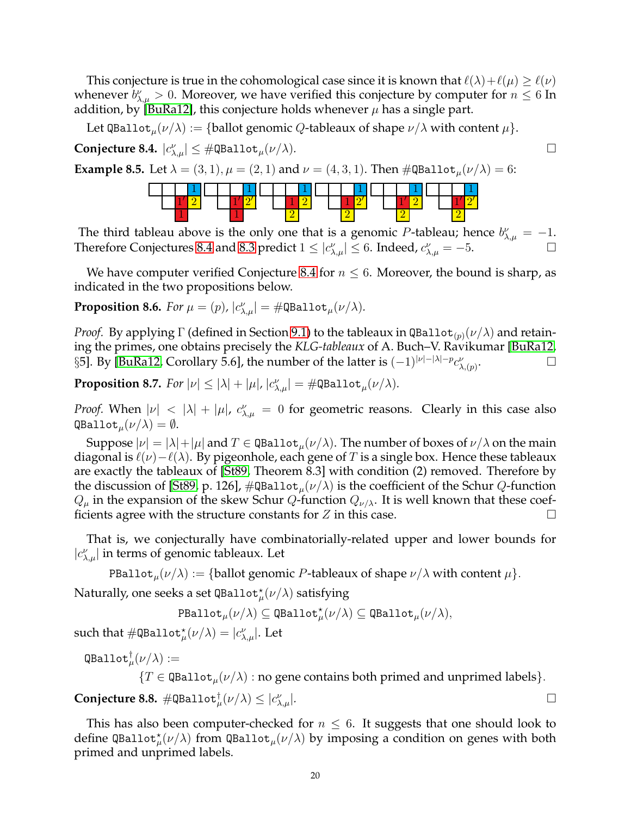This conjecture is true in the cohomological case since it is known that  $\ell(\lambda)+\ell(\mu)\geq \ell(\nu)$ whenever  $b^{\nu}_{\lambda,\mu} > 0$ . Moreover, we have verified this conjecture by computer for  $n \leq 6$  In addition, by [\[BuRa12\]](#page-27-5), this conjecture holds whenever  $\mu$  has a single part.

Let QBallot<sub>u</sub> $(\nu/\lambda) := \{\text{ballot genomic } Q\text{-tableaux of shape } \nu/\lambda \text{ with content } \mu\}.$ 

<span id="page-19-0"></span>**Conjecture 8.4.**  $|c_{\lambda,\mu}^{\nu}| \leq #\mathsf{QBallot}_{\mu}(\nu/\lambda).$ 

**Example 8.5.** Let  $\lambda = (3, 1), \mu = (2, 1)$  and  $\nu = (4, 3, 1)$ . Then  $\#\texttt{QBallot}_{\mu}(\nu/\lambda) = 6$ :



The third tableau above is the only one that is a genomic P-tableau; hence  $b^{\nu}_{\lambda,\mu} = -1$ . Therefore Conjectures [8.4](#page-19-0) and [8.3](#page-18-2) predict  $1 \leq |c_{\lambda,\mu}^{\nu}| \leq 6$ . Indeed,  $c_{\lambda,\mu}^{\nu} = -5$ .

We have computer verified Conjecture [8.4](#page-19-0) for  $n \leq 6$ . Moreover, the bound is sharp, as indicated in the two propositions below.

**Proposition 8.6.** *For*  $\mu = (p)$ ,  $|c^{\nu}_{\lambda,\mu}| = \text{\#QBallot}_{\mu}(\nu/\lambda)$ *.* 

*Proof.* By applying  $\Gamma$  (defined in Section [9.1\)](#page-20-1) to the tableaux in QBallot<sub>(p)</sub>( $\nu/\lambda$ ) and retaining the primes, one obtains precisely the *KLG-tableaux* of A. Buch–V. Ravikumar [\[BuRa12,](#page-27-5) §5]. By [\[BuRa12,](#page-27-5) Corollary 5.6], the number of the latter is  $(-1)^{|\nu|-|\lambda|-p}c_{\lambda,(p)}^{\nu}$ .<br>. D

**Proposition 8.7.** *For*  $|\nu| \le |\lambda| + |\mu|$ ,  $|c^{\nu}_{\lambda,\mu}| = \text{\#QBallot}_{\mu}(\nu/\lambda)$ .

*Proof.* When  $|\nu| < |\lambda| + |\mu|$ ,  $c_{\lambda,\mu}^{\nu} = 0$  for geometric reasons. Clearly in this case also  $\texttt{QBallot}_{\mu}(\nu/\lambda) = \emptyset.$ 

Suppose  $|\nu| = |\lambda| + |\mu|$  and  $T \in \text{QBallot}_{\mu}(\nu/\lambda)$ . The number of boxes of  $\nu/\lambda$  on the main diagonal is  $\ell(\nu) - \ell(\lambda)$ . By pigeonhole, each gene of T is a single box. Hence these tableaux are exactly the tableaux of [\[St89,](#page-29-8) Theorem 8.3] with condition (2) removed. Therefore by the discussion of [\[St89,](#page-29-8) p. 126],  $\#\texttt{QBallot}_{\mu}(\nu/\lambda)$  is the coefficient of the Schur Q-function  $Q_{\mu}$  in the expansion of the skew Schur Q-function  $Q_{\nu/\lambda}$ . It is well known that these coefficients agree with the structure constants for  $Z$  in this case.

That is, we conjecturally have combinatorially-related upper and lower bounds for  $|c^{\nu}_{\lambda,\mu}|$  in terms of genomic tableaux. Let

PBallot $\mu(\nu/\lambda) := \{\text{ballot genomic } P\text{-tableaux of shape } \nu/\lambda \text{ with content } \mu\}.$ 

 $\mathrm{Naturally}$ , one seeks a set <code>QBallot</code> $^{\star}_{\mu}(\nu/\lambda)$  satisfying

 $\texttt{PBallot}_\mu(\nu/\lambda)\subseteq \texttt{QBallot}^\star_\mu(\nu/\lambda)\subseteq \texttt{QBallot}_\mu(\nu/\lambda),$ 

such that  $\#\mathtt{QBallot}^\star_\mu(\nu/\lambda)=|c_{\lambda,\mu}^\nu|.$  Let

 $\mathtt{QBallot}^{\dagger}_{\mu}(\nu/\lambda) :=$ 

 ${T \in \text{QBallot}_{\mu}(\nu/\lambda) : \text{no gene contains both primed and unprimed labels}}$ .

 $\mathbf{Conjecture\ 8.8.~} \# \mathtt{QBallot}^\dagger_{\mu}(\nu/\lambda) \leq |c^\nu_\lambda|$  $\sum_{\lambda,\mu}^{\nu}$ .

This has also been computer-checked for  $n \leq 6$ . It suggests that one should look to define QBallot ${}_\mu^{\star}(\nu/\lambda)$  from QBallot ${}_\mu(\nu/\lambda)$  by imposing a condition on genes with both primed and unprimed labels.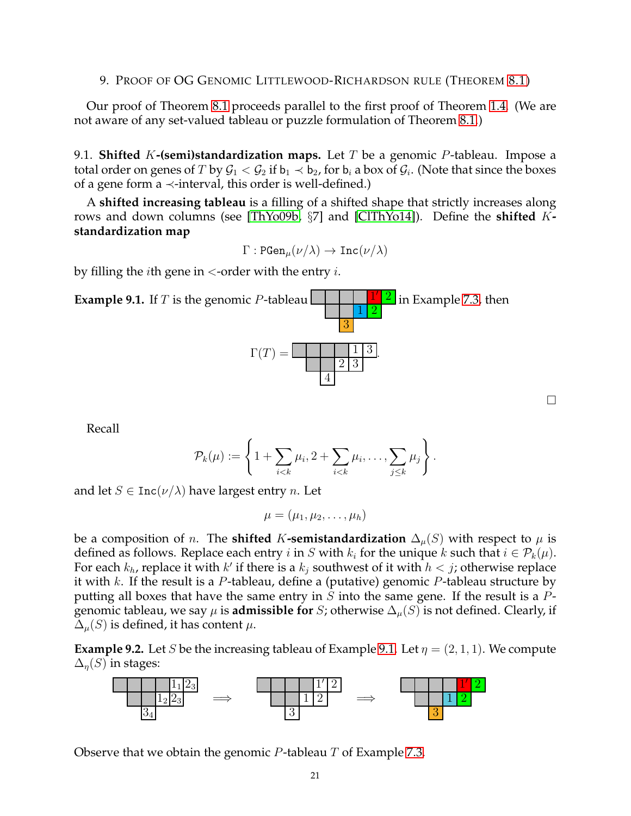# <span id="page-20-0"></span>9. PROOF OF OG GENOMIC LITTLEWOOD-RICHARDSON RULE (THEOREM [8.1\)](#page-18-0)

Our proof of Theorem [8.1](#page-18-0) proceeds parallel to the first proof of Theorem [1.4.](#page-4-1) (We are not aware of any set-valued tableau or puzzle formulation of Theorem [8.1.](#page-18-0))

<span id="page-20-1"></span>9.1. **Shifted** K**-(semi)standardization maps.** Let T be a genomic P-tableau. Impose a total order on genes of  $T$  by  $\mathcal{G}_1<\mathcal{G}_2$  if  $\mathsf{b}_1\prec\mathsf{b}_2$ , for  $\mathsf{b}_i$  a box of  $\mathcal{G}_i.$  (Note that since the boxes of a gene form a  $\prec$ -interval, this order is well-defined.)

A **shifted increasing tableau** is a filling of a shifted shape that strictly increases along rows and down columns (see [\[ThYo09b,](#page-29-0) §7] and [\[ClThYo14\]](#page-28-15)). Define the **shifted** K**standardization map**

 $\Gamma : \text{PGen}_{\mu}(\nu/\lambda) \to \text{Inc}(\nu/\lambda)$ 

by filling the *i*th gene in  $\lt$ -order with the entry *i*.

<span id="page-20-2"></span>

Recall

$$
\mathcal{P}_k(\mu) := \left\{ 1 + \sum_{i < k} \mu_i, 2 + \sum_{i < k} \mu_i, \ldots, \sum_{j \leq k} \mu_j \right\}.
$$

and let  $S \in \text{Inc}(\nu/\lambda)$  have largest entry *n*. Let

$$
\mu=(\mu_1,\mu_2,\ldots,\mu_h)
$$

be a composition of *n*. The **shifted** K-**semistandardization**  $\Delta_{\mu}(S)$  with respect to  $\mu$  is defined as follows. Replace each entry i in S with  $k_i$  for the unique k such that  $i \in \mathcal{P}_k(\mu)$ . For each  $k_h$ , replace it with  $k'$  if there is a  $k_j$  southwest of it with  $h < j$ ; otherwise replace it with k. If the result is a P-tableau, define a (putative) genomic P-tableau structure by putting all boxes that have the same entry in S into the same gene. If the result is a  $P$ genomic tableau, we say  $\mu$  is **admissible for** S; otherwise  $\Delta_{\mu}(S)$  is not defined. Clearly, if  $\Delta_{\mu}(S)$  is defined, it has content  $\mu$ .

**Example 9.2.** Let S be the increasing tableau of Example [9.1.](#page-20-2) Let  $\eta = (2, 1, 1)$ . We compute  $\Delta_n(S)$  in stages:



Observe that we obtain the genomic  $P$ -tableau  $T$  of Example [7.3.](#page-16-0)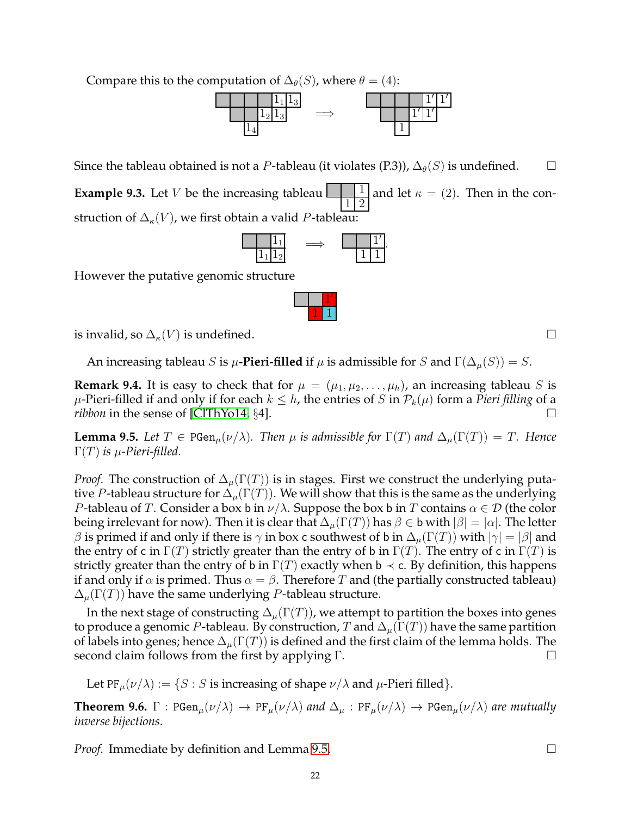Compare this to the computation of  $\Delta_{\theta}(S)$ , where  $\theta = (4)$ :



Since the tableau obtained is not a P-tableau (it violates  $(P,3)$ ),  $\Delta_{\theta}(S)$  is undefined.

**Example 9.3.** Let  $V$  be the increasing tableau 1 2 and let  $\kappa = (2)$ . Then in the construction of  $\Delta_{\kappa}(V)$ , we first obtain a valid P-tableau:

$$
\begin{array}{c|c}\n\phantom{-}1_1 \\
\hline\n1_1 1_2\n\end{array} \Rightarrow \begin{array}{c|c}\n\phantom{-}1'_1 \\
\hline\n1'_1 1'_2\n\end{array}
$$

1 ′  $1 \mid 1$ 

However the putative genomic structure

is invalid, so  $\Delta_{\kappa}(V)$  is undefined.

An increasing tableau S is  $\mu$ -Pieri-filled if  $\mu$  is admissible for S and  $\Gamma(\Delta_{\mu}(S)) = S$ .

<span id="page-21-1"></span>**Remark 9.4.** It is easy to check that for  $\mu = (\mu_1, \mu_2, \dots, \mu_h)$ , an increasing tableau S is  $\mu$ -Pieri-filled if and only if for each  $k \leq h$ , the entries of S in  $\mathcal{P}_k(\mu)$  form a *Pieri filling* of a *ribbon* in the sense of [\[ClThYo14,](#page-28-15)  $\S$ 4].

<span id="page-21-0"></span>**Lemma 9.5.** Let  $T \in \text{PGen}_{\mu}(\nu/\lambda)$ . Then  $\mu$  is admissible for  $\Gamma(T)$  and  $\Delta_{\mu}(\Gamma(T)) = T$ . Hence  $Γ(T)$  *is*  $\mu$ -Pieri-filled.

*Proof.* The construction of  $\Delta_{\mu}(\Gamma(T))$  is in stages. First we construct the underlying putative P-tableau structure for  $\Delta_u(\Gamma(T))$ . We will show that this is the same as the underlying *P*-tableau of T. Consider a box b in  $\nu/\lambda$ . Suppose the box b in T contains  $\alpha \in \mathcal{D}$  (the color being irrelevant for now). Then it is clear that  $\Delta_{\mu}(\Gamma(T))$  has  $\beta \in \mathfrak{b}$  with  $|\beta| = |\alpha|$ . The letter β is primed if and only if there is  $\gamma$  in box c southwest of b in  $\Delta_\mu(\Gamma(T))$  with  $|\gamma|=|\beta|$  and the entry of c in  $\Gamma(T)$  strictly greater than the entry of b in  $\Gamma(T)$ . The entry of c in  $\Gamma(T)$  is strictly greater than the entry of b in  $\Gamma(T)$  exactly when b  $\prec$  c. By definition, this happens if and only if  $\alpha$  is primed. Thus  $\alpha = \beta$ . Therefore T and (the partially constructed tableau)  $\Delta_{\mu}(\Gamma(T))$  have the same underlying P-tableau structure.

In the next stage of constructing  $\Delta_u(\Gamma(T))$ , we attempt to partition the boxes into genes to produce a genomic P-tableau. By construction, T and  $\Delta_{\mu}(\Gamma(T))$  have the same partition of labels into genes; hence  $\Delta_{\mu}(\Gamma(T))$  is defined and the first claim of the lemma holds. The second claim follows from the first by applying Γ. Δ

Let PF<sub> $\mu$ </sub> $(\nu/\lambda) := \{ S : S$  is increasing of shape  $\nu/\lambda$  and  $\mu$ -Pieri filled }.

**Theorem 9.6.**  $\Gamma$  : PGen<sub>µ</sub> $(\nu/\lambda) \rightarrow PF_{\mu}(\nu/\lambda)$  *and*  $\Delta_{\mu}$  : PF<sub>µ</sub> $(\nu/\lambda) \rightarrow PGen_{\mu}(\nu/\lambda)$  *are mutually inverse bijections.*

*Proof.* Immediate by definition and Lemma [9.5.](#page-21-0) □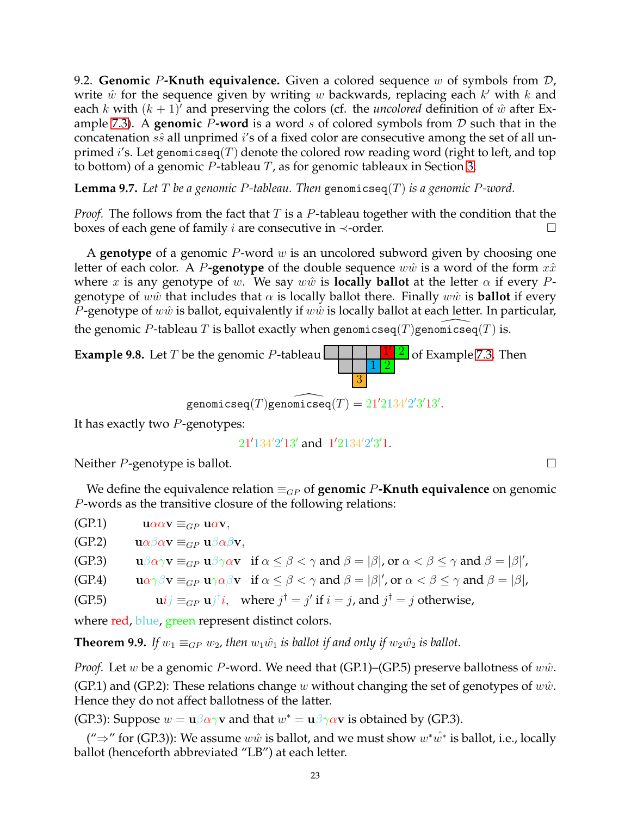<span id="page-22-0"></span>9.2. **Genomic** P**-Knuth equivalence.** Given a colored sequence w of symbols from D, write  $\hat{w}$  for the sequence given by writing  $w$  backwards, replacing each  $k'$  with  $k$  and each k with  $(k + 1)$ <sup>'</sup> and preserving the colors (cf. the *uncolored* definition of  $\hat{w}$  after Ex-ample [7.3\)](#page-16-0). A **genomic** P-word is a word s of colored symbols from  $D$  such that in the concatenation  $s\hat{s}$  all unprimed i's of a fixed color are consecutive among the set of all unprimed i's. Let genomicseq(T) denote the colored row reading word (right to left, and top to bottom) of a genomic  $P$ -tableau  $T$ , as for genomic tableaux in Section [3.](#page-6-0)

**Lemma 9.7.** *Let* T *be a genomic* P*-tableau. Then* genomicseq(T) *is a genomic* P*-word.*

*Proof.* The follows from the fact that T is a P-tableau together with the condition that the boxes of each gene of family *i* are consecutive in  $\prec$ -order.

A **genotype** of a genomic P-word w is an uncolored subword given by choosing one letter of each color. A P**-genotype** of the double sequence  $w\hat{w}$  is a word of the form  $x\hat{x}$ where x is any genotype of w. We say w $\hat{w}$  is **locally ballot** at the letter  $\alpha$  if every Pgenotype of wŵ that includes that  $\alpha$  is locally ballot there. Finally ww $\hat{w}$  is **ballot** if every *P*-genotype of  $w\hat{w}$  is ballot, equivalently if  $w\hat{w}$  is locally ballot at each letter. In particular, the genomic P-tableau T is ballot exactly when genomicseq $(T)$ genomicseq $(T)$  is.

**Example 9.8.** Let  $T$  be the genomic  $P$ -tableau  $\sqrt{2}$  of Example [7.3.](#page-16-0) Then  $1\vert 2$ 3

 $\widehat{\mathsf{genomicseq}}(T)\widehat{\mathsf{genomicseq}}(T) = 21^{\prime} 2134^{\prime} 2^{\prime} 3^{\prime} 13^{\prime}.$ 

It has exactly two  $P$ -genotypes:

 $21'134'2'13'$  and  $1'2134'2'3'1$ .

Neither  $P$ -genotype is ballot.  $\Box$ 

We define the equivalence relation  $\equiv_{GP}$  of **genomic** P**-Knuth equivalence** on genomic P-words as the transitive closure of the following relations:

(GP.1)  $u\alpha\alpha v \equiv_{GP} u\alpha v$ ,

(GP.2)  $u\alpha\beta\alpha v \equiv_{GP} u\beta\alpha\beta v$ ,

(GP.3)  $\mathbf{u}\beta\alpha\gamma\mathbf{v} \equiv_{GP} \mathbf{u}\beta\gamma\alpha\mathbf{v}$  if  $\alpha \leq \beta < \gamma$  and  $\beta = |\beta|$ , or  $\alpha < \beta \leq \gamma$  and  $\beta = |\beta|'$ ,

(GP.4)  $\mathbf{u}\alpha\gamma\beta\mathbf{v} \equiv_{GP} \mathbf{u}\gamma\alpha\beta\mathbf{v}$  if  $\alpha \leq \beta < \gamma$  and  $\beta = |\beta|'$ , or  $\alpha < \beta \leq \gamma$  and  $\beta = |\beta|$ ,

(GP.5)  $\mathbf{u}ij \equiv_{GP} \mathbf{u}j^{\dagger}i$ , where  $j^{\dagger} = j'$  if  $i = j$ , and  $j^{\dagger} = j$  otherwise,

where red, blue, green represent distinct colors.

<span id="page-22-1"></span>**Theorem 9.9.** *If*  $w_1 \equiv_{GP} w_2$ , then  $w_1\hat{w}_1$  *is ballot if and only if*  $w_2\hat{w}_2$  *is ballot.* 

*Proof.* Let w be a genomic P-word. We need that  $(GP.1)$ – $(GP.5)$  preserve ballotness of  $w\hat{w}$ . (GP.1) and (GP.2): These relations change w without changing the set of genotypes of  $w\hat{w}$ . Hence they do not affect ballotness of the latter.

(GP.3): Suppose  $w = \mathbf{u} \beta \alpha \gamma \mathbf{v}$  and that  $w^* = \mathbf{u} \beta \gamma \alpha \mathbf{v}$  is obtained by (GP.3).

(" $\Rightarrow$ " for (GP.3)): We assume  $w\hat{w}$  is ballot, and we must show  $w^*\hat{w^*}$  is ballot, i.e., locally ballot (henceforth abbreviated "LB") at each letter.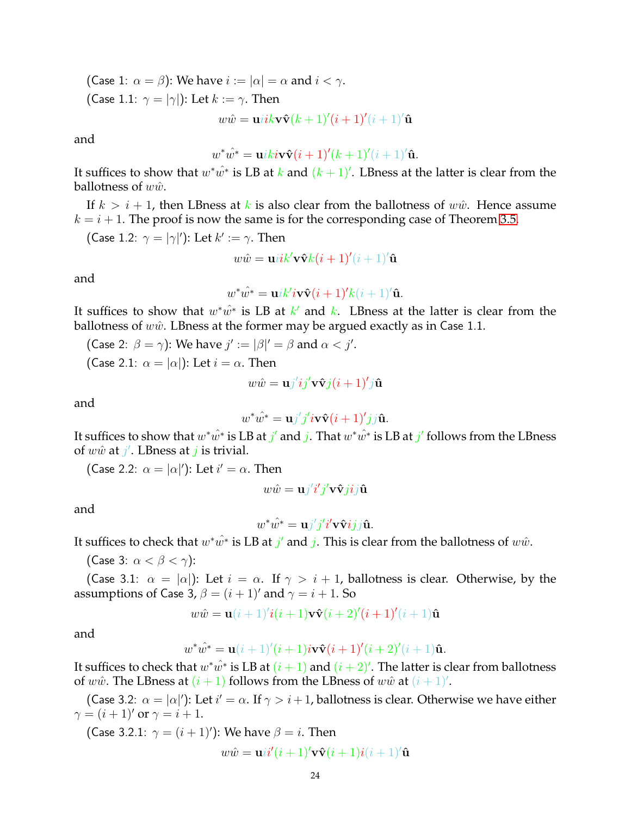(Case 1:  $\alpha = \beta$ ): We have  $i := |\alpha| = \alpha$  and  $i < \gamma$ . (Case 1.1:  $\gamma = |\gamma|$ ): Let  $k := \gamma$ . Then

 $w\hat{w} = \mathbf{u}i\mathbf{k}\mathbf{v}\mathbf{\hat{v}}(\mathbf{k}+1)'(\mathbf{i}+1)'(\mathbf{i}+1)'\mathbf{\hat{u}}$ 

and

$$
w^*\hat{w^*} = \mathbf{u}iki\mathbf{v}\hat{\mathbf{v}}(i+1)'(k+1)'(i+1)'\hat{\mathbf{u}}.
$$

It suffices to show that  $w^*\hat{w^*}$  is LB at  $k$  and  $(k+1)'$ . LBness at the latter is clear from the ballotness of  $w\hat{w}$ .

If  $k > i + 1$ , then LBness at k is also clear from the ballotness of w $\hat{w}$ . Hence assume  $k = i + 1$ . The proof is now the same is for the corresponding case of Theorem [3.5.](#page-7-1)

(Case 1.2: 
$$
\gamma = |\gamma|'
$$
): Let  $k' := \gamma$ . Then  
\n
$$
w\hat{w} = \mathbf{u}i k' \mathbf{v} \hat{\mathbf{v}} k(i+1)'(i+1)'\hat{\mathbf{u}}
$$

and

$$
w^*\hat{w^*} = \mathbf{u}ik'i\mathbf{v}\hat{\mathbf{v}}(i+1)'k(i+1)'\hat{\mathbf{u}}.
$$

It suffices to show that  $w^*\hat{w^*}$  is LB at  $k'$  and  $k$ . LBness at the latter is clear from the ballotness of  $w\hat{w}$ . LBness at the former may be argued exactly as in Case 1.1.

(Case 2: 
$$
\beta = \gamma
$$
): We have  $j' := |\beta'| = \beta$  and  $\alpha < j'$ .  
(Case 2.1:  $\alpha = |\alpha|$ ): Let  $i = \alpha$ . Then

$$
w\hat{w} = \mathbf{u}j'i\mathbf{j}'\mathbf{v}\mathbf{\hat{v}}j(i+1)'\mathbf{j}\mathbf{\hat{u}}
$$

and

$$
w^*\hat{w^*} = \mathbf{u}j'j'i\mathbf{v}\hat{\mathbf{v}}(i+1)'jj\hat{\mathbf{u}}.
$$

It suffices to show that  $w^*\hat{w^*}$  is LB at  $j'$  and  $j$ . That  $w^*\hat{w^*}$  is LB at  $j'$  follows from the LBness of  $w\hat{w}$  at  $j'$ . LBness at  $j$  is trivial.

(Case 2.2:  $\alpha = |\alpha|'$ ): Let  $i' = \alpha$ . Then

$$
w\hat{w} = \mathbf{u}j'i'j'\mathbf{v}\hat{\mathbf{v}}jij\hat{\mathbf{u}}
$$

and

$$
w^*\hat{w^*} = \mathbf{u}j'j'i'\mathbf{v}\mathbf{\hat{v}}ijj\mathbf{\hat{u}}.
$$

It suffices to check that  $w^*\hat{w^*}$  is LB at  $j'$  and  $j$ . This is clear from the ballotness of  $w\hat{w}$ .

(Case 3:  $\alpha < \beta < \gamma$ ):

(Case 3.1:  $\alpha = |\alpha|$ ): Let  $i = \alpha$ . If  $\gamma > i + 1$ , ballotness is clear. Otherwise, by the assumptions of Case 3,  $\beta = (i + 1)'$  and  $\gamma = i + 1$ . So

$$
w\hat{w} = \mathbf{u}(i+1)'\mathbf{i}(i+1)\mathbf{v}\hat{\mathbf{v}}(i+2)'\mathbf{i}(i+1)'\mathbf{i}(i+1)\hat{\mathbf{u}}
$$

and

$$
w^*\hat{w^*} = \mathbf{u}(i+1)'(i+1)i\mathbf{v}\hat{\mathbf{v}}(i+1)'(i+2)'(i+1)\hat{\mathbf{u}}.
$$

It suffices to check that  $w^*\hat{w^*}$  is LB at  $(i+1)$  and  $(i+2)'$ . The latter is clear from ballotness of  $w\hat{w}$ . The LBness at  $(i + 1)$  follows from the LBness of  $w\hat{w}$  at  $(i + 1)'$ .

(Case 3.2:  $\alpha = |\alpha|'$ ): Let  $i' = \alpha$ . If  $\gamma > i + 1$ , ballotness is clear. Otherwise we have either  $\gamma = (i+1)'$  or  $\gamma = i+1$ .

(Case 3.2.1:  $\gamma = (i + 1)')$ : We have  $\beta = i$ . Then

$$
w\hat{w} = \mathbf{u}i\mathbf{i}'(i+1)'\mathbf{v}\hat{\mathbf{v}}(i+1)i(i+1)'\hat{\mathbf{u}}
$$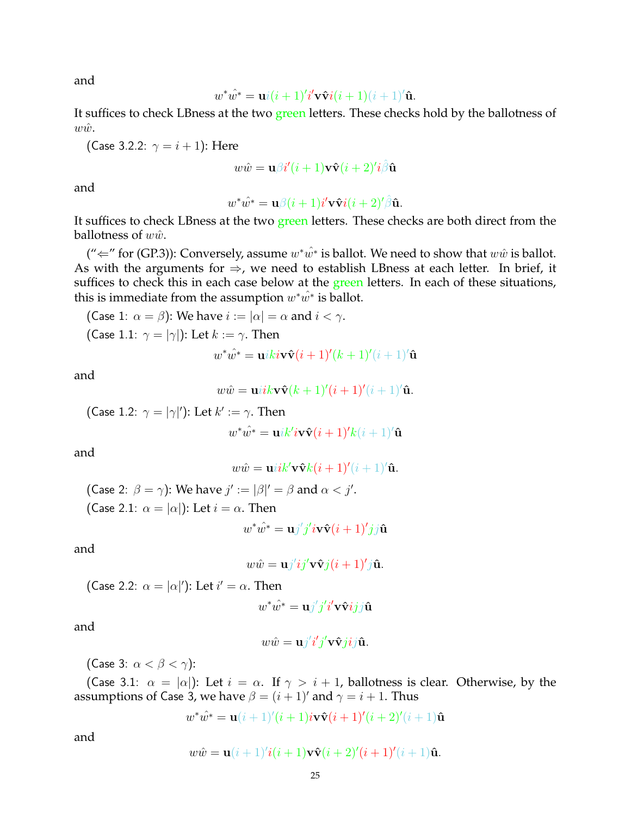and

$$
w^*\hat{w^*} = \mathbf{u}i(i+1)'i'\mathbf{v}\hat{\mathbf{v}}i(i+1)(i+1)'\hat{\mathbf{u}}.
$$

It suffices to check LBness at the two green letters. These checks hold by the ballotness of  $w\hat{w}$ .

(Case 3.2.2:  $\gamma = i + 1$ ): Here

$$
w\hat{w} = \mathbf{u}\beta i'(i+1)\mathbf{v}\hat{\mathbf{v}}(i+2)'i\hat{\beta}\hat{\mathbf{u}}
$$

and

$$
w^*\hat{w^*} = \mathbf{u}\beta(i+1)i'\mathbf{v}\hat{\mathbf{v}}i(i+2)'\hat{\beta}\hat{\mathbf{u}}.
$$

It suffices to check LBness at the two green letters. These checks are both direct from the ballotness of  $w\hat{w}$ .

(" $\Leftarrow$ " for (GP.3)): Conversely, assume  $w^*\hat{w^*}$  is ballot. We need to show that  $w\hat{w}$  is ballot. As with the arguments for  $\Rightarrow$ , we need to establish LBness at each letter. In brief, it suffices to check this in each case below at the green letters. In each of these situations, this is immediate from the assumption  $w^*\hat w^*$  is ballot.

(Case 1: 
$$
\alpha = \beta
$$
): We have  $i := |\alpha| = \alpha$  and  $i < \gamma$ .

\n(Case 1.1:  $\gamma = |\gamma|$ ): Let  $k := \gamma$ . Then

\n
$$
w^* \hat{w^*} = \mathbf{u} i k i \mathbf{v} \hat{\mathbf{v}} (i+1)'(k+1)'(i+1)
$$

and

$$
w\hat{w} = \mathbf{u}iik\mathbf{v}\hat{\mathbf{v}}(k+1)'(i+1)'(i+1)'\hat{\mathbf{u}}.
$$

 $\hat{\mathbf{u}}$ 

(Case 1.2: 
$$
\gamma = |\gamma|'
$$
): Let  $k' := \gamma$ . Then  

$$
w^* \hat{w^*} = \mathbf{u} i k' i \mathbf{v} \hat{\mathbf{v}} (i+1)' k (i+1)' \hat{\mathbf{u}}
$$

and

$$
w\hat{w} = \mathbf{u}iik'\mathbf{v}\hat{\mathbf{v}}k(i+1)'(i+1)'\hat{\mathbf{u}}.
$$

(Case 2:  $\beta = \gamma$ ): We have  $j' := |\beta|' = \beta$  and  $\alpha < j'$ . (Case 2.1:  $\alpha = |\alpha|$ ): Let  $i = \alpha$ . Then

$$
w^*\hat{w^*} = \mathbf{u}j'j'i\mathbf{v}\hat{\mathbf{v}}(i+1)'jj\hat{\mathbf{u}}
$$

and

$$
w\hat{w} = \mathbf{u}j'ij'\mathbf{v}\hat{\mathbf{v}}j(i+1)'j\hat{\mathbf{u}}.
$$

(Case 2.2:  $\alpha = |\alpha|'$ ): Let  $i' = \alpha$ . Then

$$
w^*\hat{w^*} = \mathbf{u}j'j'i'\mathbf{v}\hat{\mathbf{v}}ijj\hat{\mathbf{u}}
$$

and

$$
w\hat{w} = \mathbf{u}j'i'j'\mathbf{v}\hat{\mathbf{v}}jij\hat{\mathbf{u}}.
$$

(Case 3:  $\alpha < \beta < \gamma$ ):

(Case 3.1:  $\alpha = |\alpha|$ ): Let  $i = \alpha$ . If  $\gamma > i + 1$ , ballotness is clear. Otherwise, by the assumptions of Case 3, we have  $\beta = (i + 1)'$  and  $\gamma = i + 1$ . Thus

$$
w^*\hat{w^*} = \mathbf{u}(i+1)'(i+1)i\mathbf{v}\hat{\mathbf{v}}(i+1)'(i+2)'(i+1)\hat{\mathbf{u}}
$$

and

$$
w\hat{w} = \mathbf{u}(i+1)'i(i+1)\mathbf{v}\hat{\mathbf{v}}(i+2)'(i+1)'(i+1)\hat{\mathbf{u}}.
$$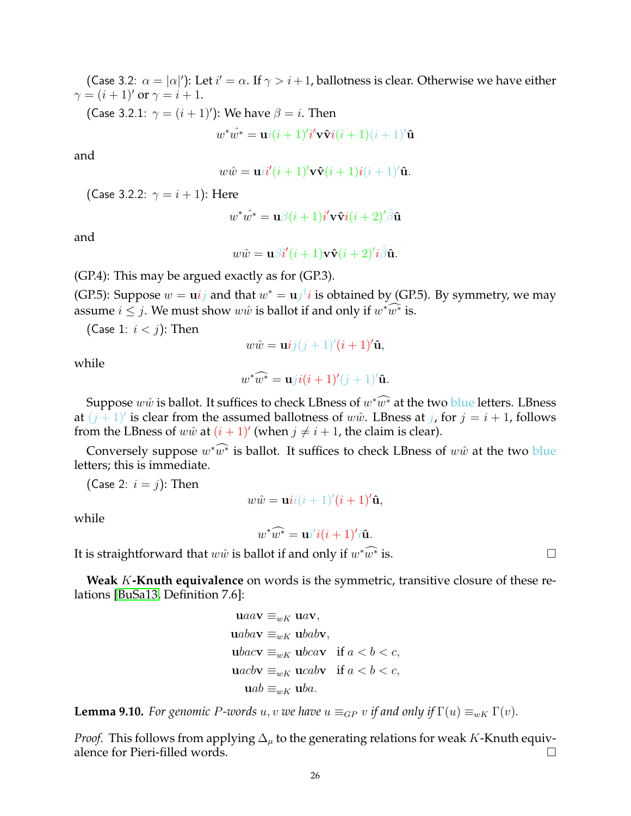(Case 3.2:  $\alpha = |\alpha|'$ ): Let  $i' = \alpha$ . If  $\gamma > i + 1$ , ballotness is clear. Otherwise we have either  $\gamma = (i+1)'$  or  $\gamma = i+1$ .

(Case 3.2.1:  $\gamma = (i + 1)')$ : We have  $\beta = i$ . Then

 $w^*\hat{w^*} = \mathbf{u} i(i+1)'i'\mathbf{v}\mathbf{\hat{v}} i(i+1)(i+1)'\mathbf{\hat{u}}$ 

and

 $w\hat{w} = \mathbf{u}i\mathbf{i}'(i+1)'\mathbf{v}\hat{\mathbf{v}}(i+1)i(i+1)'\hat{\mathbf{u}}.$ 

(Case 3.2.2:  $\gamma = i + 1$ ): Here

$$
w^*\hat{w^*} = \mathbf{u}\beta(i+1)i'\mathbf{v}\hat{\mathbf{v}}i(i+2)'\hat{\beta}\hat{\mathbf{u}}
$$

and

$$
w\hat{w} = \mathbf{u}\beta i'(i+1)\mathbf{v}\hat{\mathbf{v}}(i+2)'\hat{i}\hat{\beta}\hat{\mathbf{u}}.
$$

(GP.4): This may be argued exactly as for (GP.3).

(GP.5): Suppose  $w = \mathbf{u} i j$  and that  $w^* = \mathbf{u} j^{\dagger} i$  is obtained by (GP.5). By symmetry, we may assume  $i \leq j$ . We must show  $w\hat{w}$  is ballot if and only if  $w^*\widehat{w^*}$  is.

(Case 1:  $i < j$ ): Then

$$
w\hat{w} = \mathbf{u}ij(j+1)'(i+1)'\hat{\mathbf{u}},
$$

while

$$
w^*\widehat{w^*} = \mathbf{u}ji(i+1)'(j+1)'\mathbf{\hat{u}}.
$$

Suppose  $w\hat{w}$  is ballot. It suffices to check LBness of  $w^*\widehat{w^*}$  at the two blue letters. LBness at  $(j + 1)'$  is clear from the assumed ballotness of  $w\hat{w}$ . LBness at j, for  $j = i + 1$ , follows from the LBness of  $w\hat{w}$  at  $(i + 1)'$  (when  $j \neq i + 1$ , the claim is clear).

Conversely suppose  $w^* \widehat{w^*}$  is ballot. It suffices to check LBness of  $w\hat{w}$  at the two blue letters; this is immediate.

(Case 2:  $i = j$ ): Then

 $w\hat{w} = \mathbf{u}ii(i+1)'(i+1)'\hat{\mathbf{u}},$ 

while

 $w^*\widehat{w^*} = \mathbf{u}i'i(i+1)'i\mathbf{\hat{u}}.$ 

It is straightforward that  $w\hat w$  is ballot if and only if  $w^*\widetilde{w^*}$ 

**Weak** K**-Knuth equivalence** on words is the symmetric, transitive closure of these relations [\[BuSa13,](#page-28-3) Definition 7.6]:

$$
\mathbf{u} a a \mathbf{v} \equiv_{wK} \mathbf{u} a \mathbf{v},
$$
  
\n
$$
\mathbf{u} a b a \mathbf{v} \equiv_{wK} \mathbf{u} b a b \mathbf{v},
$$
  
\n
$$
\mathbf{u} b a c \mathbf{v} \equiv_{wK} \mathbf{u} b c a \mathbf{v} \quad \text{if } a < b < c,
$$
  
\n
$$
\mathbf{u} a c b \mathbf{v} \equiv_{wK} \mathbf{u} c a b \mathbf{v} \quad \text{if } a < b < c,
$$
  
\n
$$
\mathbf{u} a b \equiv_{wK} \mathbf{u} b a.
$$

<span id="page-25-0"></span>**Lemma 9.10.** *For genomic P-words* u, v *we have*  $u \equiv_{GP} v$  *if and only if*  $\Gamma(u) \equiv_{wK} \Gamma(v)$ *.* 

*Proof.* This follows from applying  $\Delta_{\mu}$  to the generating relations for weak K-Knuth equivalence for Pieri-filled words.  $\square$ 

is.  $\Box$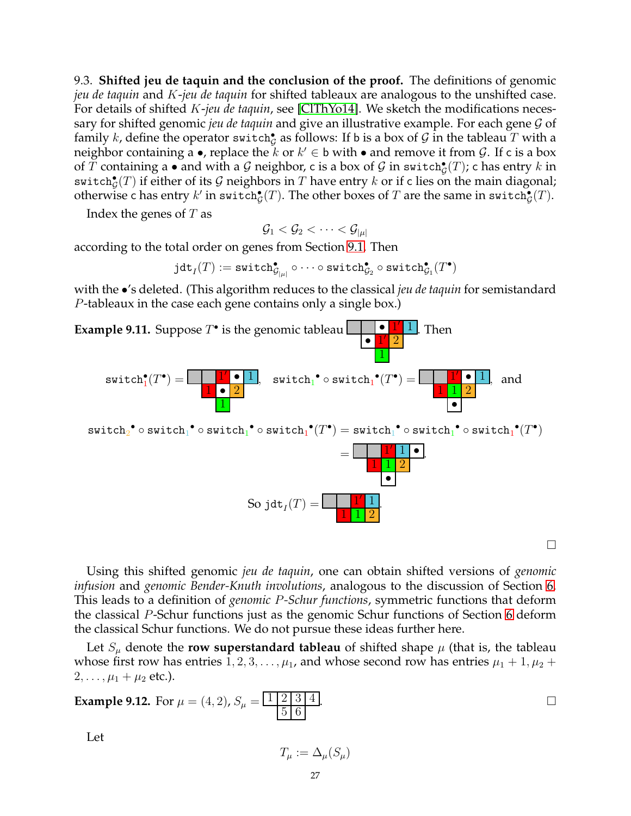<span id="page-26-0"></span>9.3. **Shifted jeu de taquin and the conclusion of the proof.** The definitions of genomic *jeu de taquin* and K-*jeu de taquin* for shifted tableaux are analogous to the unshifted case. For details of shifted K-*jeu de taquin*, see [\[ClThYo14\]](#page-28-15). We sketch the modifications necessary for shifted genomic *jeu de taquin* and give an illustrative example. For each gene G of family  $k$ , define the operator switch $^{\bullet}_{\mathcal{G}}$  as follows: If b is a box of  $\mathcal G$  in the tableau  $T$  with a neighbor containing a  $\bullet$ , replace the  $k$  or  $k'\in\mathsf{b}$  with  $\bullet$  and remove it from  $\mathcal{G}.$  If c is a box of  $T$  containing a  $\bullet$  and with a  ${\cal G}$  neighbor, c is a box of  ${\cal G}$  in switch $^{\bullet}_{\cal G}(T)$ ; c has entry  $k$  in  $\mathsf{switch}_{\mathcal{G}}^\bullet(T)$  if either of its  $\mathcal G$  neighbors in  $T$  have entry  $k$  or if c lies on the main diagonal; otherwise c has entry  $k'$  in switch $^{\bullet}_{\mathcal{G}}(T).$  The other boxes of  $T$  are the same in switch $^{\bullet}_{\mathcal{G}}(T).$ 

Index the genes of  $T$  as

 $\mathcal{G}_1 < \mathcal{G}_2 < \cdots < \mathcal{G}_{|\mu|}$ 

according to the total order on genes from Section [9.1.](#page-20-1) Then

 $\mathtt{jdt}_I(T) := \mathtt{switch}_{\mathcal{G}_{| \mu |}}^\bullet \circ \cdots \circ \mathtt{switch}_{\mathcal{G}_2}^\bullet \circ \mathtt{switch}_{\mathcal{G}_1}^\bullet (T^\bullet)$ 

with the •'s deleted. (This algorithm reduces to the classical *jeu de taquin* for semistandard P-tableaux in the case each gene contains only a single box.)



 $\Box$ 

Using this shifted genomic *jeu de taquin*, one can obtain shifted versions of *genomic infusion* and *genomic Bender-Knuth involutions*, analogous to the discussion of Section [6.](#page-13-0) This leads to a definition of *genomic* P*-Schur functions*, symmetric functions that deform the classical P-Schur functions just as the genomic Schur functions of Section [6](#page-13-0) deform the classical Schur functions. We do not pursue these ideas further here.

Let  $S_{\mu}$  denote the **row superstandard tableau** of shifted shape  $\mu$  (that is, the tableau whose first row has entries  $1, 2, 3, \ldots, \mu_1$ , and whose second row has entries  $\mu_1 + 1, \mu_2 +$  $2, \ldots, \mu_1 + \mu_2$  etc.).

**Example 9.12.** For 
$$
\mu = (4, 2)
$$
,  $S_{\mu} = \frac{1 \mid 2 \mid 3 \mid 4}{5 \mid 6}$ .

Let

$$
T_{\mu} := \Delta_{\mu}(S_{\mu})
$$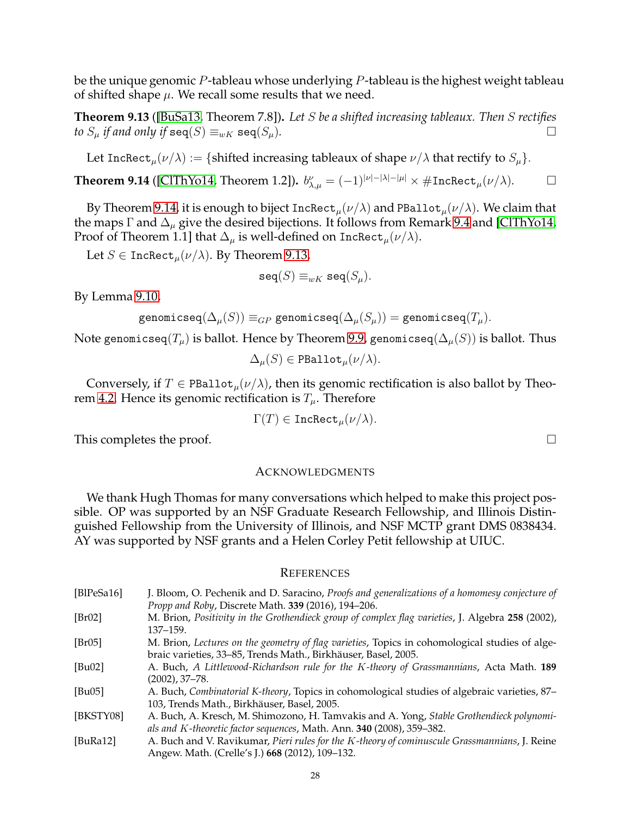be the unique genomic  $P$ -tableau whose underlying  $P$ -tableau is the highest weight tableau of shifted shape  $\mu$ . We recall some results that we need.

<span id="page-27-10"></span>**Theorem 9.13** ([\[BuSa13,](#page-28-3) Theorem 7.8])**.** *Let* S *be a shifted increasing tableaux. Then* S *rectifies to*  $S_{\mu}$  *if and only if*  $\mathbf{seq}(S) \equiv_{wK} \mathbf{seq}(S_{\mu})$ *.*  $\Box$ 

Let IncRect<sub>u</sub> $(\nu/\lambda) := \{\text{shifted increasing tableaux of shape } \nu/\lambda \text{ that rectify to } S_u\}.$ 

<span id="page-27-9"></span>**Theorem 9.14** ([\[ClThYo14,](#page-28-15) Theorem 1.2]).  $b^{\nu}_{\lambda,\mu} = (-1)^{|\nu|-|\lambda|-|\mu|} \times \#\mathrm{Incheck}_\mu(\nu/\lambda)$ .

By Theorem [9.14,](#page-27-9) it is enough to biject  ${\tt Incheck}_\mu(\nu/\lambda)$  and  ${\tt PBallot}_\mu(\nu/\lambda).$  We claim that the maps  $\Gamma$  and  $\Delta_{\mu}$  give the desired bijections. It follows from Remark [9.4](#page-21-1) and [\[ClThYo14,](#page-28-15) Proof of Theorem 1.1] that  $\Delta_{\mu}$  is well-defined on IncRect $_{\mu}(\nu/\lambda)$ .

Let  $S \in \text{Incheck}_{\mu}(\nu/\lambda)$ . By Theorem [9.13,](#page-27-10)

$$
\mathtt{seq}(S) \equiv_{wK} \mathtt{seq}(S_{\mu}).
$$

By Lemma [9.10,](#page-25-0)

$$
\texttt{genomicseq}(\Delta_{\mu}(S)) \equiv_{GP} \texttt{genomicseq}(\Delta_{\mu}(S_{\mu})) = \texttt{genomicseq}(T_{\mu}).
$$

Note genomicseq( $T_\mu$ ) is ballot. Hence by Theorem [9.9,](#page-22-1) genomicseq( $\Delta_\mu(S)$ ) is ballot. Thus

$$
\Delta_{\mu}(S) \in \mathtt{PBallot}_{\mu}(\nu/\lambda).
$$

Conversely, if  $T \in \text{PBallot}_{\mu}(\nu/\lambda)$ , then its genomic rectification is also ballot by Theo-rem [4.2.](#page-8-3) Hence its genomic rectification is  $T_{\mu}$ . Therefore

$$
\Gamma(T) \in {\tt{IncRect}_\mu(\nu/\lambda)}.
$$

This completes the proof.  $\Box$ 

#### <span id="page-27-0"></span>ACKNOWLEDGMENTS

We thank Hugh Thomas for many conversations which helped to make this project possible. OP was supported by an NSF Graduate Research Fellowship, and Illinois Distinguished Fellowship from the University of Illinois, and NSF MCTP grant DMS 0838434. AY was supported by NSF grants and a Helen Corley Petit fellowship at UIUC.

#### <span id="page-27-1"></span>**REFERENCES**

<span id="page-27-8"></span><span id="page-27-7"></span><span id="page-27-6"></span><span id="page-27-5"></span><span id="page-27-4"></span><span id="page-27-3"></span><span id="page-27-2"></span>

| [BlPeSa16]   | J. Bloom, O. Pechenik and D. Saracino, <i>Proofs and generalizations of a homomesy conjecture of</i> |
|--------------|------------------------------------------------------------------------------------------------------|
|              | Propp and Roby, Discrete Math. 339 (2016), 194-206.                                                  |
| [Br02]       | M. Brion, Positivity in the Grothendieck group of complex flag varieties, J. Algebra 258 (2002),     |
|              | $137 - 159$ .                                                                                        |
| [Br05]       | M. Brion, Lectures on the geometry of flag varieties, Topics in cohomological studies of alge-       |
|              | braic varieties, 33–85, Trends Math., Birkhäuser, Basel, 2005.                                       |
| [ $Bu02$ ]   | A. Buch, A Littlewood-Richardson rule for the K-theory of Grassmannians, Acta Math. 189              |
|              | (2002), 37–78.                                                                                       |
| [ $Bu05$ ]   | A. Buch, Combinatorial K-theory, Topics in cohomological studies of algebraic varieties, 87–         |
|              | 103, Trends Math., Birkhäuser, Basel, 2005.                                                          |
| [BKSTY08]    | A. Buch, A. Kresch, M. Shimozono, H. Tamvakis and A. Yong, Stable Grothendieck polynomi-             |
|              | als and K-theoretic factor sequences, Math. Ann. 340 (2008), 359–382.                                |
| [ $BuRa12$ ] | A. Buch and V. Ravikumar, Pieri rules for the K-theory of cominuscule Grassmannians, J. Reine        |
|              | Angew. Math. (Crelle's J.) 668 (2012), 109-132.                                                      |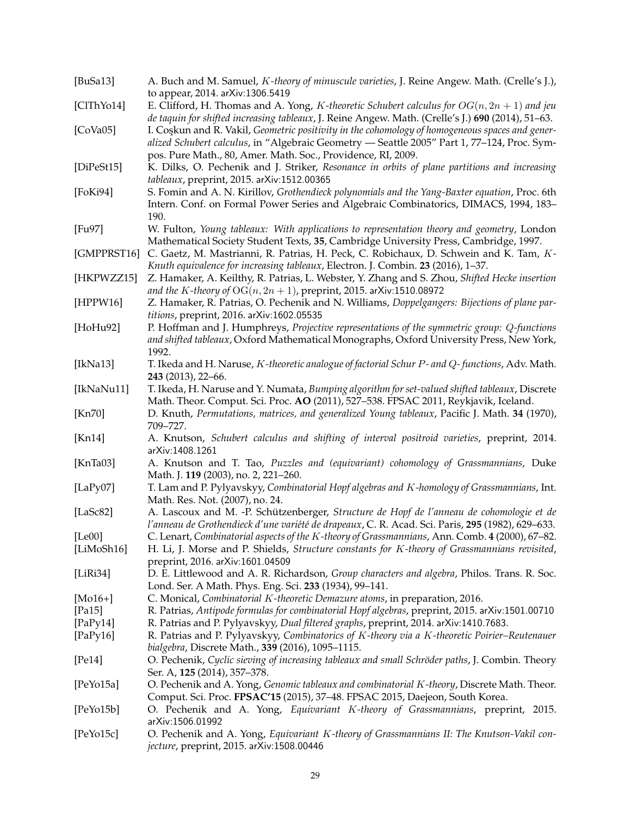<span id="page-28-24"></span><span id="page-28-23"></span><span id="page-28-22"></span><span id="page-28-21"></span><span id="page-28-20"></span><span id="page-28-19"></span><span id="page-28-18"></span><span id="page-28-17"></span><span id="page-28-16"></span><span id="page-28-15"></span><span id="page-28-14"></span><span id="page-28-13"></span><span id="page-28-12"></span><span id="page-28-11"></span><span id="page-28-10"></span><span id="page-28-9"></span><span id="page-28-8"></span><span id="page-28-7"></span><span id="page-28-6"></span><span id="page-28-5"></span><span id="page-28-4"></span><span id="page-28-3"></span><span id="page-28-2"></span><span id="page-28-1"></span><span id="page-28-0"></span>

| [BuSa13]     | A. Buch and M. Samuel, K-theory of minuscule varieties, J. Reine Angew. Math. (Crelle's J.),<br>to appear, 2014. arXiv:1306.5419                                                                                                                               |
|--------------|----------------------------------------------------------------------------------------------------------------------------------------------------------------------------------------------------------------------------------------------------------------|
| [ClThYo14]   | E. Clifford, H. Thomas and A. Yong, K-theoretic Schubert calculus for $OG(n, 2n + 1)$ and jeu<br>de taquin for shifted increasing tableaux, J. Reine Angew. Math. (Crelle's J.) 690 (2014), 51-63.                                                             |
| [CoVa05]     | I. Coskun and R. Vakil, Geometric positivity in the cohomology of homogeneous spaces and gener-<br>alized Schubert calculus, in "Algebraic Geometry - Seattle 2005" Part 1, 77-124, Proc. Sym-<br>pos. Pure Math., 80, Amer. Math. Soc., Providence, RI, 2009. |
| [DiPeSt15]   | K. Dilks, O. Pechenik and J. Striker, Resonance in orbits of plane partitions and increasing<br>tableaux, preprint, 2015. arXiv:1512.00365                                                                                                                     |
| [FoKi94]     | S. Fomin and A. N. Kirillov, Grothendieck polynomials and the Yang-Baxter equation, Proc. 6th<br>Intern. Conf. on Formal Power Series and Algebraic Combinatorics, DIMACS, 1994, 183-<br>190.                                                                  |
| [Fu97]       | W. Fulton, Young tableaux: With applications to representation theory and geometry, London<br>Mathematical Society Student Texts, 35, Cambridge University Press, Cambridge, 1997.                                                                             |
| [GMPPRST16]  | C. Gaetz, M. Mastrianni, R. Patrias, H. Peck, C. Robichaux, D. Schwein and K. Tam, K-<br>Knuth equivalence for increasing tableaux, Electron. J. Combin. 23 (2016), 1-37.                                                                                      |
| [HKPWZZ15]   | Z. Hamaker, A. Keilthy, R. Patrias, L. Webster, Y. Zhang and S. Zhou, Shifted Hecke insertion<br>and the K-theory of $OG(n, 2n + 1)$ , preprint, 2015. arXiv:1510.08972                                                                                        |
| [HPPW16]     | Z. Hamaker, R. Patrias, O. Pechenik and N. Williams, Doppelgangers: Bijections of plane par-<br>titions, preprint, 2016. arXiv:1602.05535                                                                                                                      |
| [HoHu92]     | P. Hoffman and J. Humphreys, Projective representations of the symmetric group: Q-functions<br>and shifted tableaux, Oxford Mathematical Monographs, Oxford University Press, New York,<br>1992.                                                               |
| [ $IkNa13$ ] | T. Ikeda and H. Naruse, K-theoretic analogue of factorial Schur P- and Q-functions, Adv. Math.<br>243 (2013), 22-66.                                                                                                                                           |
| [IkNaNu11]   | T. Ikeda, H. Naruse and Y. Numata, Bumping algorithm for set-valued shifted tableaux, Discrete<br>Math. Theor. Comput. Sci. Proc. AO (2011), 527-538. FPSAC 2011, Reykjavik, Iceland.                                                                          |
| [Kn70]       | D. Knuth, Permutations, matrices, and generalized Young tableaux, Pacific J. Math. 34 (1970),<br>709-727.                                                                                                                                                      |
| [Kn14]       | A. Knutson, Schubert calculus and shifting of interval positroid varieties, preprint, 2014.<br>arXiv:1408.1261                                                                                                                                                 |
| [ $KnTa03$ ] | A. Knutson and T. Tao, Puzzles and (equivariant) cohomology of Grassmannians, Duke<br>Math. J. 119 (2003), no. 2, 221-260.                                                                                                                                     |
| [LaPy07]     | T. Lam and P. Pylyavskyy, Combinatorial Hopf algebras and K-homology of Grassmannians, Int.<br>Math. Res. Not. (2007), no. 24.                                                                                                                                 |
| [LaSc $82$ ] | A. Lascoux and M. -P. Schützenberger, Structure de Hopf de l'anneau de cohomologie et de<br>l'anneau de Grothendieck d'une variété de drapeaux, C. R. Acad. Sci. Paris, 295 (1982), 629–633.                                                                   |
| [Le00]       | C. Lenart, Combinatorial aspects of the K-theory of Grassmannians, Ann. Comb. 4 (2000), 67-82.                                                                                                                                                                 |
| [LiMoSh16]   | H. Li, J. Morse and P. Shields, Structure constants for K-theory of Grassmannians revisited,<br>preprint, 2016. arXiv:1601.04509                                                                                                                               |
| [LiRi34]     | D. E. Littlewood and A. R. Richardson, Group characters and algebra, Philos. Trans. R. Soc.<br>Lond. Ser. A Math. Phys. Eng. Sci. 233 (1934), 99-141.                                                                                                          |
| [ $Mo16+$ ]  | C. Monical, Combinatorial K-theoretic Demazure atoms, in preparation, 2016.                                                                                                                                                                                    |
|              |                                                                                                                                                                                                                                                                |
| [ $Pa15$ ]   | R. Patrias, Antipode formulas for combinatorial Hopf algebras, preprint, 2015. arXiv:1501.00710                                                                                                                                                                |
| [ $PaPy14$ ] | R. Patrias and P. Pylyavskyy, Dual filtered graphs, preprint, 2014. arXiv:1410.7683.                                                                                                                                                                           |
| [ $PaPy16$ ] | R. Patrias and P. Pylyavskyy, Combinatorics of K-theory via a K-theoretic Poirier–Reutenauer                                                                                                                                                                   |
|              | bialgebra, Discrete Math., 339 (2016), 1095-1115.                                                                                                                                                                                                              |
| [Pe14]       | O. Pechenik, Cyclic sieving of increasing tableaux and small Schröder paths, J. Combin. Theory<br>Ser. A, 125 (2014), 357-378.                                                                                                                                 |
| [PeYo15a]    | O. Pechenik and A. Yong, Genomic tableaux and combinatorial K-theory, Discrete Math. Theor.<br>Comput. Sci. Proc. FPSAC'15 (2015), 37-48. FPSAC 2015, Daejeon, South Korea.                                                                                    |
| [PeYo15b]    | O. Pechenik and A. Yong, Equivariant K-theory of Grassmannians, preprint, 2015.<br>arXiv:1506.01992                                                                                                                                                            |
| [PeYo15c]    | O. Pechenik and A. Yong, Equivariant K-theory of Grassmannians II: The Knutson-Vakil con-<br>jecture, preprint, 2015. arXiv:1508.00446                                                                                                                         |